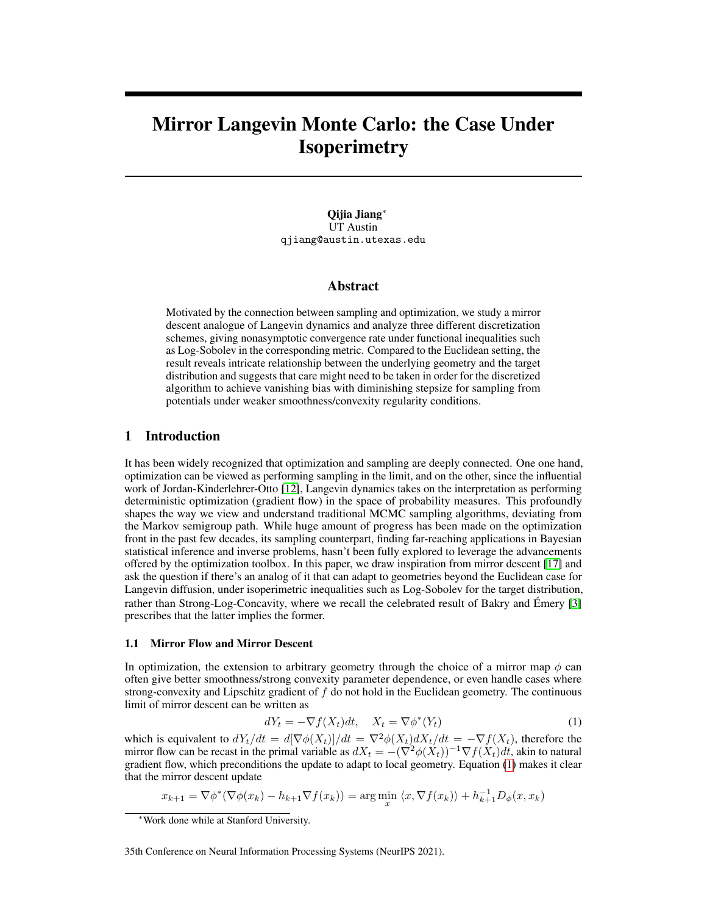# Mirror Langevin Monte Carlo: the Case Under **Isoperimetry**

Qijia Jiang<sup>∗</sup> UT Austin qjiang@austin.utexas.edu

#### Abstract

Motivated by the connection between sampling and optimization, we study a mirror descent analogue of Langevin dynamics and analyze three different discretization schemes, giving nonasymptotic convergence rate under functional inequalities such as Log-Sobolev in the corresponding metric. Compared to the Euclidean setting, the result reveals intricate relationship between the underlying geometry and the target distribution and suggests that care might need to be taken in order for the discretized algorithm to achieve vanishing bias with diminishing stepsize for sampling from potentials under weaker smoothness/convexity regularity conditions.

## 1 Introduction

It has been widely recognized that optimization and sampling are deeply connected. One one hand, optimization can be viewed as performing sampling in the limit, and on the other, since the influential work of Jordan-Kinderlehrer-Otto [\[12\]](#page-10-0), Langevin dynamics takes on the interpretation as performing deterministic optimization (gradient flow) in the space of probability measures. This profoundly shapes the way we view and understand traditional MCMC sampling algorithms, deviating from the Markov semigroup path. While huge amount of progress has been made on the optimization front in the past few decades, its sampling counterpart, finding far-reaching applications in Bayesian statistical inference and inverse problems, hasn't been fully explored to leverage the advancements offered by the optimization toolbox. In this paper, we draw inspiration from mirror descent [\[17\]](#page-10-1) and ask the question if there's an analog of it that can adapt to geometries beyond the Euclidean case for Langevin diffusion, under isoperimetric inequalities such as Log-Sobolev for the target distribution, rather than Strong-Log-Concavity, where we recall the celebrated result of Bakry and Émery [\[3\]](#page-9-0) prescribes that the latter implies the former.

#### 1.1 Mirror Flow and Mirror Descent

In optimization, the extension to arbitrary geometry through the choice of a mirror map  $\phi$  can often give better smoothness/strong convexity parameter dependence, or even handle cases where strong-convexity and Lipschitz gradient of  $f$  do not hold in the Euclidean geometry. The continuous limit of mirror descent can be written as

<span id="page-0-0"></span>
$$
dY_t = -\nabla f(X_t)dt, \quad X_t = \nabla \phi^*(Y_t)
$$
\n(1)

which is equivalent to  $dY_t/dt = d[\nabla \phi(X_t)]/dt = \nabla^2 \phi(X_t) dX_t/dt = -\nabla f(X_t)$ , therefore the mirror flow can be recast in the primal variable as  $dX_t = -(\nabla^2 \phi(X_t))^{-1} \nabla f(X_t) dt$ , akin to natural gradient flow, which preconditions the update to adapt to local geometry. Equation [\(1\)](#page-0-0) makes it clear that the mirror descent update

$$
x_{k+1} = \nabla \phi^*(\nabla \phi(x_k) - h_{k+1} \nabla f(x_k)) = \arg\min_x \langle x, \nabla f(x_k) \rangle + h_{k+1}^{-1} D_{\phi}(x, x_k)
$$

<sup>∗</sup>Work done while at Stanford University.

<sup>35</sup>th Conference on Neural Information Processing Systems (NeurIPS 2021).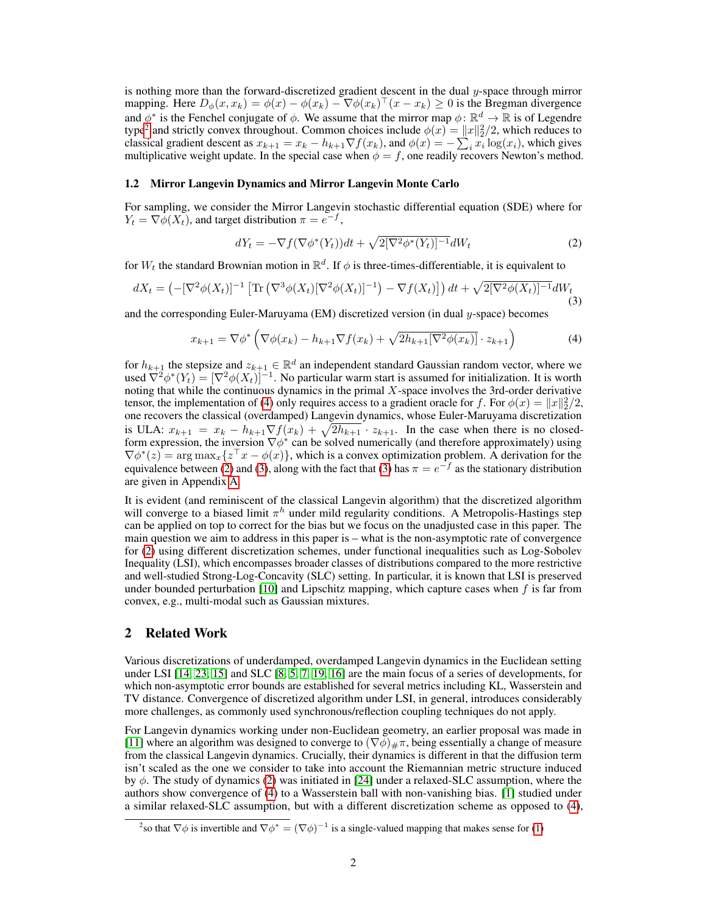is nothing more than the forward-discretized gradient descent in the dual  $y$ -space through mirror mapping. Here  $D_{\phi}(x, x_k) = \phi(x) - \phi(x_k) - \nabla \phi(x_k)^{\top}(x - x_k) \geq 0$  is the Bregman divergence and  $\phi^*$  is the Fenchel conjugate of  $\phi$ . We assume that the mirror map  $\phi: \mathbb{R}^d \to \mathbb{R}$  is of Legendre type<sup>[2](#page-1-0)</sup> and strictly convex throughout. Common choices include  $\phi(x) = ||x||_2^2/2$ , which reduces to classical gradient descent as  $x_{k+1} = x_k - h_{k+1} \nabla f(x_k)$ , and  $\phi(x) = -\sum_i x_i \log(x_i)$ , which gives multiplicative weight update. In the special case when  $\phi = f$ , one readily recovers Newton's method.

#### 1.2 Mirror Langevin Dynamics and Mirror Langevin Monte Carlo

For sampling, we consider the Mirror Langevin stochastic differential equation (SDE) where for  $Y_t = \nabla \phi(X_t)$ , and target distribution  $\pi = e^{-f}$ ,

<span id="page-1-3"></span><span id="page-1-2"></span><span id="page-1-1"></span>
$$
dY_t = -\nabla f(\nabla \phi^*(Y_t))dt + \sqrt{2[\nabla^2 \phi^*(Y_t)]^{-1}}dW_t
$$
\n(2)

for  $W_t$  the standard Brownian motion in  $\mathbb{R}^d$ . If  $\phi$  is three-times-differentiable, it is equivalent to

$$
dX_t = \left(-\left[\nabla^2 \phi(X_t)\right]^{-1}\left[\text{Tr}\left(\nabla^3 \phi(X_t)[\nabla^2 \phi(X_t)]^{-1}\right) - \nabla f(X_t)\right]\right)dt + \sqrt{2\left[\nabla^2 \phi(X_t)\right]^{-1}}dW_t\tag{3}
$$

and the corresponding Euler-Maruyama (EM) discretized version (in dual  $y$ -space) becomes

$$
x_{k+1} = \nabla \phi^* \left( \nabla \phi(x_k) - h_{k+1} \nabla f(x_k) + \sqrt{2h_{k+1}[\nabla^2 \phi(x_k)]} \cdot z_{k+1} \right)
$$
(4)

for  $h_{k+1}$  the stepsize and  $z_{k+1} \in \mathbb{R}^d$  an independent standard Gaussian random vector, where we used  $\nabla^2 \phi^*(Y_t) = [\nabla^2 \phi(X_t)]^{-1}$ . No particular warm start is assumed for initialization. It is worth noting that while the continuous dynamics in the primal  $X$ -space involves the 3rd-order derivative tensor, the implementation of [\(4\)](#page-1-1) only requires access to a gradient oracle for f. For  $\phi(x) = ||x||_2^2/2$ , one recovers the classical (overdamped) Langevin dynamics, whose Euler-Maruyama discretization is ULA:  $x_{k+1} = x_k - h_{k+1} \nabla f(x_k) + \sqrt{2h_{k+1}} \cdot z_{k+1}$ . In the case when there is no closedform expression, the inversion  $\nabla \phi^*$  can be solved numerically (and therefore approximately) using  $\nabla \phi^*(z) = \arg \max_x \{ z^\top x - \phi(x) \}$ , which is a convex optimization problem. A derivation for the equivalence between [\(2\)](#page-1-2) and [\(3\)](#page-1-3), along with the fact that (3) has  $\pi = e^{-f}$  as the stationary distribution are given in Appendix [A.](#page-11-0)

It is evident (and reminiscent of the classical Langevin algorithm) that the discretized algorithm will converge to a biased limit  $\pi^h$  under mild regularity conditions. A Metropolis-Hastings step can be applied on top to correct for the bias but we focus on the unadjusted case in this paper. The main question we aim to address in this paper is – what is the non-asymptotic rate of convergence for [\(2\)](#page-1-2) using different discretization schemes, under functional inequalities such as Log-Sobolev Inequality (LSI), which encompasses broader classes of distributions compared to the more restrictive and well-studied Strong-Log-Concavity (SLC) setting. In particular, it is known that LSI is preserved under bounded perturbation [\[10\]](#page-10-2) and Lipschitz mapping, which capture cases when  $f$  is far from convex, e.g., multi-modal such as Gaussian mixtures.

#### 2 Related Work

Various discretizations of underdamped, overdamped Langevin dynamics in the Euclidean setting under LSI [\[14,](#page-10-3) [23,](#page-10-4) [15\]](#page-10-5) and SLC [\[8,](#page-10-6) [5,](#page-9-1) [7,](#page-10-7) [19,](#page-10-8) [16\]](#page-10-9) are the main focus of a series of developments, for which non-asymptotic error bounds are established for several metrics including KL, Wasserstein and TV distance. Convergence of discretized algorithm under LSI, in general, introduces considerably more challenges, as commonly used synchronous/reflection coupling techniques do not apply.

For Langevin dynamics working under non-Euclidean geometry, an earlier proposal was made in [\[11\]](#page-10-10) where an algorithm was designed to converge to  $(\nabla \phi)_{\#} \pi$ , being essentially a change of measure from the classical Langevin dynamics. Crucially, their dynamics is different in that the diffusion term isn't scaled as the one we consider to take into account the Riemannian metric structure induced by  $\phi$ . The study of dynamics [\(2\)](#page-1-2) was initiated in [\[24\]](#page-10-11) under a relaxed-SLC assumption, where the authors show convergence of [\(4\)](#page-1-1) to a Wasserstein ball with non-vanishing bias. [\[1\]](#page-9-2) studied under a similar relaxed-SLC assumption, but with a different discretization scheme as opposed to [\(4\)](#page-1-1),

<span id="page-1-0"></span><sup>&</sup>lt;sup>2</sup>so that  $\nabla \phi$  is invertible and  $\nabla \phi^* = (\nabla \phi)^{-1}$  is a single-valued mapping that makes sense for [\(1\)](#page-0-0)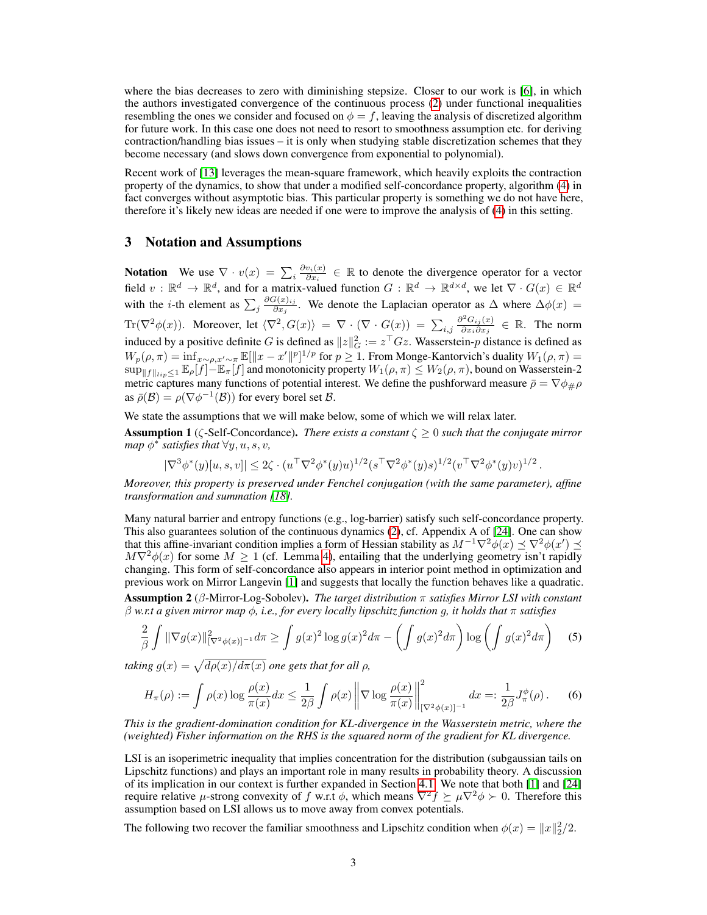where the bias decreases to zero with diminishing stepsize. Closer to our work is [\[6\]](#page-9-3), in which the authors investigated convergence of the continuous process [\(2\)](#page-1-2) under functional inequalities resembling the ones we consider and focused on  $\phi = f$ , leaving the analysis of discretized algorithm for future work. In this case one does not need to resort to smoothness assumption etc. for deriving contraction/handling bias issues – it is only when studying stable discretization schemes that they become necessary (and slows down convergence from exponential to polynomial).

Recent work of [\[13\]](#page-10-12) leverages the mean-square framework, which heavily exploits the contraction property of the dynamics, to show that under a modified self-concordance property, algorithm [\(4\)](#page-1-1) in fact converges without asymptotic bias. This particular property is something we do not have here, therefore it's likely new ideas are needed if one were to improve the analysis of [\(4\)](#page-1-1) in this setting.

#### 3 Notation and Assumptions

**Notation** We use  $\nabla \cdot v(x) = \sum_i \frac{\partial v_i(x)}{\partial x_i}$  $\frac{\partial v_i(x)}{\partial x_i} \in \mathbb{R}$  to denote the divergence operator for a vector field  $v : \mathbb{R}^d \to \mathbb{R}^d$ , and for a matrix-valued function  $G : \mathbb{R}^d \to \mathbb{R}^{d \times d}$ , we let  $\nabla \cdot G(x) \in \mathbb{R}^d$ with the *i*-th element as  $\sum_j \frac{\partial G(x)_{ij}}{\partial x_j}$  $\frac{\partial \mathcal{L}(x)_{ij}}{\partial x_j}$ . We denote the Laplacian operator as  $\Delta$  where  $\Delta \phi(x) =$  $\text{Tr}(\nabla^2 \phi(x))$ . Moreover, let  $\langle \nabla^2, G(x)\rangle = \nabla \cdot (\nabla \cdot G(x)) = \sum_{i,j}$  $\partial^2 G_{ij}(x)$  $\frac{\partial^2 G_{ij}(x)}{\partial x_i \partial x_j} \in \mathbb{R}$ . The norm induced by a positive definite G is defined as  $||z||_G^2 := z^\top Gz$ . Wasserstein-p distance is defined as  $W_p(\rho, \pi) = \inf_{x \sim \rho, x' \sim \pi} \mathbb{E}[\|x - x'\|^p]^{1/p}$  for  $p \ge 1$ . From Monge-Kantorvich's duality  $W_1(\rho, \pi) =$  $\sup_{\|f\|_{\ellip}\leq 1}\mathbb{E}_{\rho}[f]-\mathbb{E}_{\pi}[f]$  and monotonicity property  $W_1(\rho,\pi)\leq W_2(\rho,\pi)$ , bound on Wasserstein-2 metric captures many functions of potential interest. We define the pushforward measure  $\bar{\rho} = \nabla \phi_{\#} \rho$ as  $\bar{\rho}(\mathcal{B}) = \rho(\nabla \phi^{-1}(\mathcal{B}))$  for every borel set  $\mathcal{B}$ .

<span id="page-2-2"></span>We state the assumptions that we will make below, some of which we will relax later. Assumption 1 (ζ-Self-Concordance). *There exists a constant* ζ ≥ 0 *such that the conjugate mirror map*  $\phi^*$  satisfies that  $\forall y, u, s, v$ ,

$$
|\nabla^3 \phi^*(y)[u, s, v]| \leq 2\zeta \cdot (u^\top \nabla^2 \phi^*(y)u)^{1/2} (s^\top \nabla^2 \phi^*(y) s)^{1/2} (v^\top \nabla^2 \phi^*(y) v)^{1/2}
$$

<span id="page-2-4"></span>.

*Moreover, this property is preserved under Fenchel conjugation (with the same parameter), affine transformation and summation [\[18\]](#page-10-13).*

Many natural barrier and entropy functions (e.g., log-barrier) satisfy such self-concordance property. This also guarantees solution of the continuous dynamics [\(2\)](#page-1-2), cf. Appendix A of [\[24\]](#page-10-11). One can show that this affine-invariant condition implies a form of Hessian stability as  $M^{-1}\nabla^2\phi(x) \preceq \nabla^2\phi(x') \preceq$  $M\nabla^2\phi(x)$  for some  $M \geq 1$  (cf. Lemma [4\)](#page-13-0), entailing that the underlying geometry isn't rapidly changing. This form of self-concordance also appears in interior point method in optimization and previous work on Mirror Langevin [\[1\]](#page-9-2) and suggests that locally the function behaves like a quadratic.

<span id="page-2-1"></span>Assumption 2 (β-Mirror-Log-Sobolev). *The target distribution* π *satisfies Mirror LSI with constant* β *w.r.t a given mirror map* φ*, i.e., for every locally lipschitz function* g*, it holds that* π *satisfies*

$$
\frac{2}{\beta} \int \|\nabla g(x)\|_{[\nabla^2 \phi(x)]^{-1}}^2 d\pi \ge \int g(x)^2 \log g(x)^2 d\pi - \left(\int g(x)^2 d\pi\right) \log \left(\int g(x)^2 d\pi\right) \tag{5}
$$

*taking*  $g(x) = \sqrt{d\rho(x)/d\pi(x)}$  *one gets that for all*  $\rho$ *,* 

<span id="page-2-0"></span>
$$
H_{\pi}(\rho) := \int \rho(x) \log \frac{\rho(x)}{\pi(x)} dx \le \frac{1}{2\beta} \int \rho(x) \left\| \nabla \log \frac{\rho(x)}{\pi(x)} \right\|_{[\nabla^2 \phi(x)]^{-1}}^2 dx =: \frac{1}{2\beta} J_{\pi}^{\phi}(\rho).
$$
 (6)

*This is the gradient-domination condition for KL-divergence in the Wasserstein metric, where the (weighted) Fisher information on the RHS is the squared norm of the gradient for KL divergence.*

LSI is an isoperimetric inequality that implies concentration for the distribution (subgaussian tails on Lipschitz functions) and plays an important role in many results in probability theory. A discussion of its implication in our context is further expanded in Section [4.1.](#page-3-0) We note that both [\[1\]](#page-9-2) and [\[24\]](#page-10-11) require relative  $\mu$ -strong convexity of f w.r.t  $\phi$ , which means  $\nabla^2 f \succeq \mu \nabla^2 \phi > 0$ . Therefore this assumption based on LSI allows us to move away from convex potentials.

<span id="page-2-3"></span>The following two recover the familiar smoothness and Lipschitz condition when  $\phi(x) = ||x||_2^2/2$ .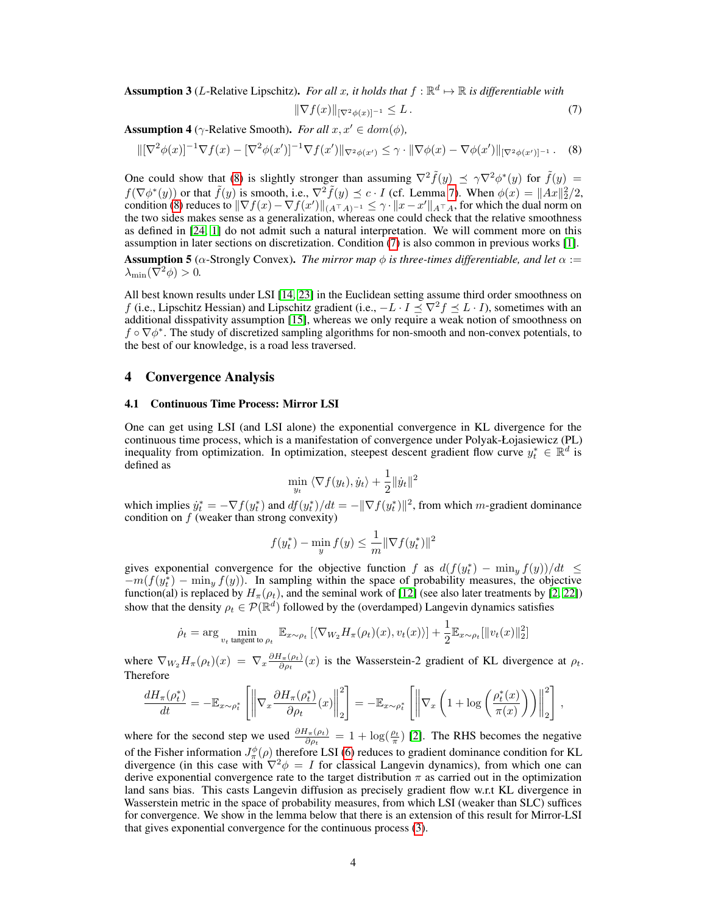**Assumption 3** (*L*-Relative Lipschitz). For all x, it holds that  $f : \mathbb{R}^d \mapsto \mathbb{R}$  is differentiable with

<span id="page-3-2"></span><span id="page-3-1"></span>
$$
\|\nabla f(x)\|_{[\nabla^2 \phi(x)]^{-1}} \le L. \tag{7}
$$

<span id="page-3-4"></span>**Assumption 4** ( $\gamma$ -Relative Smooth). *For all*  $x, x' \in dom(\phi)$ ,

$$
\|[\nabla^2 \phi(x)]^{-1} \nabla f(x) - [\nabla^2 \phi(x')]^{-1} \nabla f(x')\|_{\nabla^2 \phi(x')} \leq \gamma \cdot \|\nabla \phi(x) - \nabla \phi(x')\|_{[\nabla^2 \phi(x')]^{-1}}. \tag{8}
$$

One could show that [\(8\)](#page-3-1) is slightly stronger than assuming  $\nabla^2 \tilde{f}(y) \preceq \gamma \nabla^2 \phi^*(y)$  for  $\tilde{f}(y) =$  $f(\nabla \phi^*(y))$  or that  $\tilde{f}(y)$  is smooth, i.e.,  $\nabla^2 \tilde{f}(y) \preceq c \cdot I$  (cf. Lemma [7\)](#page-17-0). When  $\phi(x) = ||Ax||_2^2/2$ , condition [\(8\)](#page-3-1) reduces to  $\|\nabla f(x) - \nabla f(x')\|_{(A^\top A)^{-1}} \leq \gamma \cdot \|x - x'\|_{A^\top A}$ , for which the dual norm on the two sides makes sense as a generalization, whereas one could check that the relative smoothness as defined in [\[24,](#page-10-11) [1\]](#page-9-2) do not admit such a natural interpretation. We will comment more on this assumption in later sections on discretization. Condition [\(7\)](#page-3-2) is also common in previous works [\[1\]](#page-9-2).

<span id="page-3-3"></span>**Assumption 5** ( $\alpha$ -Strongly Convex). *The mirror map*  $\phi$  *is three-times differentiable, and let*  $\alpha$  :=  $\lambda_{\min}(\nabla^2 \phi) > 0.$ 

All best known results under LSI [\[14,](#page-10-3) [23\]](#page-10-4) in the Euclidean setting assume third order smoothness on f (i.e., Lipschitz Hessian) and Lipschitz gradient (i.e.,  $-L \cdot I \prec \nabla^2 f \prec L \cdot I$ ), sometimes with an additional disspativity assumption [\[15\]](#page-10-5), whereas we only require a weak notion of smoothness on  $f \circ \nabla \phi^*$ . The study of discretized sampling algorithms for non-smooth and non-convex potentials, to the best of our knowledge, is a road less traversed.

#### 4 Convergence Analysis

#### <span id="page-3-0"></span>4.1 Continuous Time Process: Mirror LSI

One can get using LSI (and LSI alone) the exponential convergence in KL divergence for the continuous time process, which is a manifestation of convergence under Polyak-Łojasiewicz (PL) inequality from optimization. In optimization, steepest descent gradient flow curve  $y_t^* \in \mathbb{R}^d$  is defined as

$$
\min_{y_t} \left\langle \nabla f(y_t), \dot{y}_t \right\rangle + \frac{1}{2} \|\dot{y}_t\|^2
$$

which implies  $\dot{y}_t^* = -\nabla f(y_t^*)$  and  $df(y_t^*)/dt = -\|\nabla f(y_t^*)\|^2$ , from which m-gradient dominance condition on  $f$  (weaker than strong convexity)

$$
f(y_t^*) - \min_{y} f(y) \le \frac{1}{m} \|\nabla f(y_t^*)\|^2
$$

gives exponential convergence for the objective function f as  $d(f(y_t^*) - \min_y f(y))/dt \le$  $-m(f(y_t^*) - \min_y f(y))$ . In sampling within the space of probability measures, the objective function(al) is replaced by  $H_{\pi}(\rho_t)$ , and the seminal work of [\[12\]](#page-10-0) (see also later treatments by [\[2,](#page-9-4) [22\]](#page-10-14)) show that the density  $\rho_t \in \mathcal{P}(\mathbb{R}^d)$  followed by the (overdamped) Langevin dynamics satisfies

$$
\dot{\rho}_t = \arg \min_{v_t \text{ tangent to } \rho_t} \ \mathbb{E}_{x \sim \rho_t} \left[ \langle \nabla_{W_2} H_{\pi}(\rho_t)(x), v_t(x) \rangle \right] + \frac{1}{2} \mathbb{E}_{x \sim \rho_t} [\|v_t(x)\|_2^2]
$$

where  $\nabla_{W_2} H_{\pi}(\rho_t)(x) = \nabla_x \frac{\partial H_{\pi}(\rho_t)}{\partial \rho_t}$  $\frac{d_{\pi}(\rho_t)}{\partial \rho_t}(x)$  is the Wasserstein-2 gradient of KL divergence at  $\rho_t$ . Therefore

$$
\frac{dH_{\pi}(\rho_t^*)}{dt} = -\mathbb{E}_{x \sim \rho_t^*} \left[ \left\| \nabla_x \frac{\partial H_{\pi}(\rho_t^*)}{\partial \rho_t}(x) \right\|_2^2 \right] = -\mathbb{E}_{x \sim \rho_t^*} \left[ \left\| \nabla_x \left( 1 + \log \left( \frac{\rho_t^*(x)}{\pi(x)} \right) \right) \right\|_2^2 \right],
$$

<span id="page-3-5"></span>where for the second step we used  $\frac{\partial H_\pi(\rho_t)}{\partial \rho_t} = 1 + \log(\frac{\rho_t}{\pi})$  [\[2\]](#page-9-4). The RHS becomes the negative of the Fisher information  $J^{\phi}_{\pi}(\rho)$  therefore LSI [\(6\)](#page-2-0) reduces to gradient dominance condition for KL divergence (in this case with  $\nabla^2 \phi = I$  for classical Langevin dynamics), from which one can derive exponential convergence rate to the target distribution  $\pi$  as carried out in the optimization land sans bias. This casts Langevin diffusion as precisely gradient flow w.r.t KL divergence in Wasserstein metric in the space of probability measures, from which LSI (weaker than SLC) suffices for convergence. We show in the lemma below that there is an extension of this result for Mirror-LSI that gives exponential convergence for the continuous process [\(3\)](#page-1-3).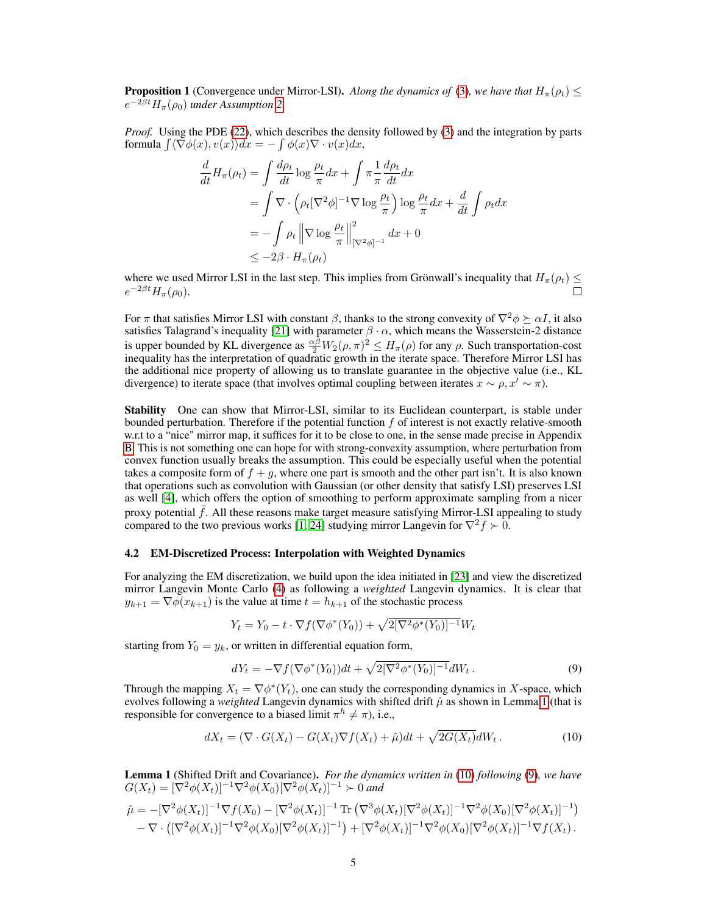**Proposition 1** (Convergence under Mirror-LSI). *Along the dynamics of* [\(3\)](#page-1-3)*, we have that*  $H_{\pi}(\rho_t) \leq$  $e^{-2\beta t}H_{\pi}(\rho_0)$  *under Assumption* [2.](#page-2-1)

*Proof.* Using the PDE [\(22\)](#page-11-1), which describes the density followed by [\(3\)](#page-1-3) and the integration by parts formula  $\int \langle \nabla \phi(x), v(x) \rangle dx = - \int \phi(x) \nabla \cdot v(x) dx$ ,

$$
\frac{d}{dt}H_{\pi}(\rho_{t}) = \int \frac{d\rho_{t}}{dt} \log \frac{\rho_{t}}{\pi} dx + \int \pi \frac{1}{\pi} \frac{d\rho_{t}}{dt} dx
$$
\n
$$
= \int \nabla \cdot \left(\rho_{t} [\nabla^{2} \phi]^{-1} \nabla \log \frac{\rho_{t}}{\pi}\right) \log \frac{\rho_{t}}{\pi} dx + \frac{d}{dt} \int \rho_{t} dx
$$
\n
$$
= -\int \rho_{t} \left\| \nabla \log \frac{\rho_{t}}{\pi} \right\|_{[\nabla^{2} \phi]^{-1}}^{2} dx + 0
$$
\n
$$
\leq -2\beta \cdot H_{\pi}(\rho_{t})
$$

where we used Mirror LSI in the last step. This implies from Grönwall's inequality that  $H_{\pi}(\rho_t) \leq$  $e^{-2\beta t}H_{\pi}(\rho_0).$ 

For  $\pi$  that satisfies Mirror LSI with constant  $\beta$ , thanks to the strong convexity of  $\nabla^2 \phi \succeq \alpha I$ , it also satisfies Talagrand's inequality [\[21\]](#page-10-15) with parameter  $\beta \cdot \alpha$ , which means the Wasserstein-2 distance is upper bounded by KL divergence as  $\frac{\alpha\beta}{2}W_2(\rho,\pi)^2 \leq H_\pi(\rho)$  for any  $\rho$ . Such transportation-cost inequality has the interpretation of quadratic growth in the iterate space. Therefore Mirror LSI has the additional nice property of allowing us to translate guarantee in the objective value (i.e., KL divergence) to iterate space (that involves optimal coupling between iterates  $x \sim \rho, x' \sim \pi$ ).

Stability One can show that Mirror-LSI, similar to its Euclidean counterpart, is stable under bounded perturbation. Therefore if the potential function  $f$  of interest is not exactly relative-smooth w.r.t to a "nice" mirror map, it suffices for it to be close to one, in the sense made precise in Appendix [B.](#page-12-0) This is not something one can hope for with strong-convexity assumption, where perturbation from convex function usually breaks the assumption. This could be especially useful when the potential takes a composite form of  $f + g$ , where one part is smooth and the other part isn't. It is also known that operations such as convolution with Gaussian (or other density that satisfy LSI) preserves LSI as well [\[4\]](#page-9-5), which offers the option of smoothing to perform approximate sampling from a nicer proxy potential f. All these reasons make target measure satisfying Mirror-LSI appealing to study compared to the two previous works [\[1,](#page-9-2) [24\]](#page-10-11) studying mirror Langevin for  $\nabla^2 f \succ 0$ .

#### <span id="page-4-3"></span>4.2 EM-Discretized Process: Interpolation with Weighted Dynamics

For analyzing the EM discretization, we build upon the idea initiated in [\[23\]](#page-10-4) and view the discretized mirror Langevin Monte Carlo [\(4\)](#page-1-1) as following a *weighted* Langevin dynamics. It is clear that  $y_{k+1} = \nabla \phi(x_{k+1})$  is the value at time  $t = h_{k+1}$  of the stochastic process

$$
Y_t = Y_0 - t \cdot \nabla f(\nabla \phi^*(Y_0)) + \sqrt{2[\nabla^2 \phi^*(Y_0)]^{-1}} W_t
$$

starting from  $Y_0 = y_k$ , or written in differential equation form,

<span id="page-4-2"></span><span id="page-4-1"></span>
$$
dY_t = -\nabla f(\nabla \phi^*(Y_0))dt + \sqrt{2[\nabla^2 \phi^*(Y_0)]^{-1}}dW_t.
$$
\n(9)

Through the mapping  $X_t = \nabla \phi^*(Y_t)$ , one can study the corresponding dynamics in X-space, which evolves following a *weighted* Langevin dynamics with shifted drift  $\hat{\mu}$  as shown in Lemma [1](#page-4-0) (that is responsible for convergence to a biased limit  $\pi^h \neq \pi$ ), i.e.,

$$
dX_t = (\nabla \cdot G(X_t) - G(X_t)\nabla f(X_t) + \hat{\mu})dt + \sqrt{2G(X_t)}dW_t.
$$
\n(10)

<span id="page-4-0"></span>Lemma 1 (Shifted Drift and Covariance). *For the dynamics written in* [\(10\)](#page-4-1) *following* [\(9\)](#page-4-2)*, we have*  $G(X_t) = [\nabla^2 \phi(X_t)]^{-1} \nabla^2 \phi(X_0) [\nabla^2 \phi(X_t)]^{-1} \succ 0$  and

$$
\hat{\mu} = -[\nabla^2 \phi(X_t)]^{-1} \nabla f(X_0) - [\nabla^2 \phi(X_t)]^{-1} \operatorname{Tr} (\nabla^3 \phi(X_t) [\nabla^2 \phi(X_t)]^{-1} \nabla^2 \phi(X_0) [\nabla^2 \phi(X_t)]^{-1})
$$
  
 
$$
- \nabla \cdot ([\nabla^2 \phi(X_t)]^{-1} \nabla^2 \phi(X_0) [\nabla^2 \phi(X_t)]^{-1}) + [\nabla^2 \phi(X_t)]^{-1} \nabla^2 \phi(X_0) [\nabla^2 \phi(X_t)]^{-1} \nabla f(X_t).
$$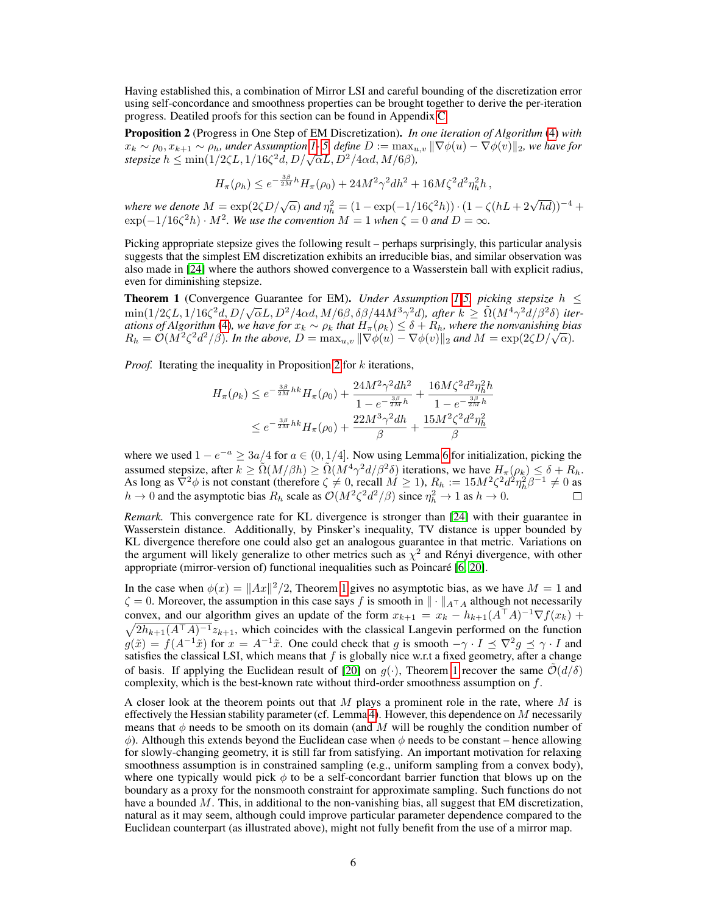Having established this, a combination of Mirror LSI and careful bounding of the discretization error using self-concordance and smoothness properties can be brought together to derive the per-iteration progress. Deatiled proofs for this section can be found in Appendix [C.](#page-13-1)

<span id="page-5-0"></span>Proposition 2 (Progress in One Step of EM Discretization). *In one iteration of Algorithm* [\(4\)](#page-1-1) *with*  $x_k \sim \rho_0, x_{k+1} \sim \rho_h$ , under Assumption [1-](#page-2-2)5, define  $D := \max_{u,v} \|\nabla \phi(u) - \nabla \phi(v)\|_2$ , we have for  $f(x_k \sim \rho_0, x_{k+1} \sim \rho_h$ , under Assumption 1-5, define  $D := \max_u$ <br>stepsize  $h \le \min(1/2\zeta L, 1/16\zeta^2 d, D/\sqrt{\alpha}L, D^2/4\alpha d, M/6\beta)$ ,

$$
H_{\pi}(\rho_h) \le e^{-\frac{3\beta}{2M}h} H_{\pi}(\rho_0) + 24M^2 \gamma^2 dh^2 + 16M\zeta^2 d^2 \eta_h^2 h,
$$

*where we denote*  $M = \exp(2\zeta D/\sqrt{\alpha})$  *and*  $\eta_h^2 = (1 - \exp(-1/16\zeta^2 h)) \cdot (1 - \zeta(hL + 2\sqrt{hd}))^{-4} +$  $\exp(-1/16\zeta^2 h) \cdot M^2$ . We use the convention  $M = 1$  when  $\zeta = 0$  and  $D = \infty$ .

Picking appropriate stepsize gives the following result – perhaps surprisingly, this particular analysis suggests that the simplest EM discretization exhibits an irreducible bias, and similar observation was also made in [\[24\]](#page-10-11) where the authors showed convergence to a Wasserstein ball with explicit radius, even for diminishing stepsize.

<span id="page-5-1"></span>**Theorem [1](#page-2-2)** (Convergence Guarantee for EM). *Under Assumption 1[-5,](#page-3-3) picking stepsize*  $h \leq$ **in** in (1/2ζL, 1/16ζ<sup>2</sup>d, D/ $\sqrt{\alpha}L$ , D<sup>2</sup>/4αd, M/6β, δβ/44M<sup>3</sup> $\gamma$ <sup>2</sup>d), after  $k \ge \tilde{\Omega}(M^4 \gamma^2 d/\beta^2 \delta)$  iter*ations of Algorithm* [\(4\)](#page-1-1)*, we have for*  $x_k \sim \rho_k$  *that*  $H_\pi(\rho_k) \leq \delta + R_h$ *, where the nonvanishing bias* ations of Algorithm (4), we have for  $x_k \sim \rho_k$  that  $H_\pi(\rho_k) \leq \delta + R_h$ , where the nonvanishing bid  $R_h = \mathcal{O}(M^2 \zeta^2 d^2/\beta)$ . In the above,  $D = \max_{u,v} ||\nabla \phi(u) - \nabla \phi(v)||_2$  and  $M = \exp(2\zeta D/\sqrt{\alpha})$ .

*Proof.* Iterating the inequality in Proposition [2](#page-5-0) for k iterations,

$$
H_{\pi}(\rho_k) \le e^{-\frac{3\beta}{2M}hk} H_{\pi}(\rho_0) + \frac{24M^2\gamma^2dh^2}{1 - e^{-\frac{3\beta}{2M}h}} + \frac{16M\zeta^2d^2\eta_h^2h}{1 - e^{-\frac{3\beta}{2M}h}}
$$
  

$$
\le e^{-\frac{3\beta}{2M}hk} H_{\pi}(\rho_0) + \frac{22M^3\gamma^2dh}{\beta} + \frac{15M^2\zeta^2d^2\eta_h^2}{\beta}
$$

where we used  $1 - e^{-a} \geq 3a/4$  for  $a \in (0, 1/4]$ . Now using Lemma [6](#page-16-0) for initialization, picking the assumed stepsize, after  $k \geq \tilde{\Omega}(M/\beta h) \geq \tilde{\Omega}(M^4 \gamma^2 d/\beta^2 \delta)$  iterations, we have  $H_{\pi}(\rho_k) \leq \delta + R_h$ . As long as  $\hat{\nabla}^2 \phi$  is not constant (therefore  $\zeta \neq 0$ , recall  $M \geq 1$ ),  $R_h := 15M^2 \zeta^2 d^2 \eta_h^2 \beta^{-1} \neq 0$  as  $h \to 0$  and the asymptotic bias  $R_h$  scale as  $\mathcal{O}(M^2 \zeta^2 d^2/\beta)$  since  $\eta_h^2 \to 1$  as  $h \to 0$ .

*Remark.* This convergence rate for KL divergence is stronger than [\[24\]](#page-10-11) with their guarantee in Wasserstein distance. Additionally, by Pinsker's inequality, TV distance is upper bounded by KL divergence therefore one could also get an analogous guarantee in that metric. Variations on the argument will likely generalize to other metrics such as  $\chi^2$  and Rényi divergence, with other appropriate (mirror-version of) functional inequalities such as Poincaré [\[6,](#page-9-3) [20\]](#page-10-16).

In the case when  $\phi(x) = ||Ax||^2/2$ , Theorem [1](#page-5-1) gives no asymptotic bias, as we have  $M = 1$  and  $\zeta = 0$ . Moreover, the assumption in this case says f is smooth in  $\|\cdot\|_{A^\top A}$  although not necessarily convex, and our algorithm gives an update of the form  $x_{k+1} = x_k - h_{k+1}(A^{\top}A)$  $\sqrt{ }$  $^{-1}\nabla f(x_k) +$  $2h_{k+1}(A^{\top}A)^{-1}z_{k+1}$ , which coincides with the classical Langevin performed on the function  $g(\tilde{x}) = f(A^{-1}\tilde{x})$  for  $x = A^{-1}\tilde{x}$ . One could check that g is smooth  $-\gamma \cdot I \preceq \nabla^2 g \preceq \gamma \cdot I$  and satisfies the classical LSI, which means that  $f$  is globally nice w.r.t a fixed geometry, after a change of basis. If applying the Euclidean result of [\[20\]](#page-10-16) on  $q(\cdot)$ , Theorem [1](#page-5-1) recover the same  $\mathcal{O}(d/\delta)$ complexity, which is the best-known rate without third-order smoothness assumption on  $f$ .

A closer look at the theorem points out that  $M$  plays a prominent role in the rate, where  $M$  is effectively the Hessian stability parameter (cf. Lemma [4\)](#page-13-0). However, this dependence on  $M$  necessarily means that  $\phi$  needs to be smooth on its domain (and M will be roughly the condition number of  $\phi$ ). Although this extends beyond the Euclidean case when  $\phi$  needs to be constant – hence allowing for slowly-changing geometry, it is still far from satisfying. An important motivation for relaxing smoothness assumption is in constrained sampling (e.g., uniform sampling from a convex body), where one typically would pick  $\phi$  to be a self-concordant barrier function that blows up on the boundary as a proxy for the nonsmooth constraint for approximate sampling. Such functions do not have a bounded M. This, in additional to the non-vanishing bias, all suggest that EM discretization, natural as it may seem, although could improve particular parameter dependence compared to the Euclidean counterpart (as illustrated above), might not fully benefit from the use of a mirror map.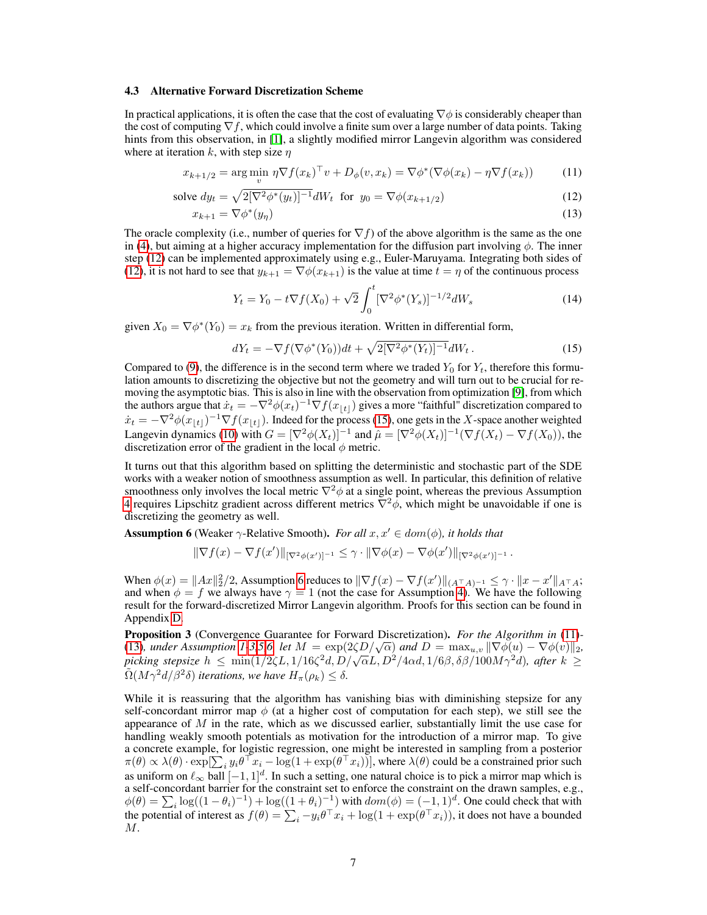#### <span id="page-6-5"></span>4.3 Alternative Forward Discretization Scheme

In practical applications, it is often the case that the cost of evaluating  $\nabla \phi$  is considerably cheaper than the cost of computing  $\nabla f$ , which could involve a finite sum over a large number of data points. Taking hints from this observation, in [\[1\]](#page-9-2), a slightly modified mirror Langevin algorithm was considered where at iteration k, with step size  $\eta$ 

$$
x_{k+1/2} = \arg\min_{v} \eta \nabla f(x_k)^\top v + D_{\phi}(v, x_k) = \nabla \phi^*(\nabla \phi(x_k) - \eta \nabla f(x_k)) \tag{11}
$$

solve 
$$
dy_t = \sqrt{2[\nabla^2 \phi^*(y_t)]^{-1}} dW_t
$$
 for  $y_0 = \nabla \phi(x_{k+1/2})$  (12)

$$
x_{k+1} = \nabla \phi^*(y_\eta) \tag{13}
$$

The oracle complexity (i.e., number of queries for  $\nabla f$ ) of the above algorithm is the same as the one in [\(4\)](#page-1-1), but aiming at a higher accuracy implementation for the diffusion part involving  $\phi$ . The inner step [\(12\)](#page-6-0) can be implemented approximately using e.g., Euler-Maruyama. Integrating both sides of [\(12\)](#page-6-0), it is not hard to see that  $y_{k+1} = \nabla \phi(x_{k+1})$  is the value at time  $t = \eta$  of the continuous process

<span id="page-6-7"></span><span id="page-6-4"></span><span id="page-6-3"></span><span id="page-6-0"></span>
$$
Y_t = Y_0 - t \nabla f(X_0) + \sqrt{2} \int_0^t [\nabla^2 \phi^*(Y_s)]^{-1/2} dW_s \tag{14}
$$

given  $X_0 = \nabla \phi^*(Y_0) = x_k$  from the previous iteration. Written in differential form,

<span id="page-6-1"></span>
$$
dY_t = -\nabla f(\nabla \phi^*(Y_0))dt + \sqrt{2[\nabla^2 \phi^*(Y_t)]^{-1}}dW_t.
$$
 (15)

Compared to [\(9\)](#page-4-2), the difference is in the second term where we traded  $Y_0$  for  $Y_t$ , therefore this formulation amounts to discretizing the objective but not the geometry and will turn out to be crucial for removing the asymptotic bias. This is also in line with the observation from optimization [\[9\]](#page-10-17), from which the authors argue that  $\dot{x}_t = -\nabla^2 \phi(x_t)^{-1} \nabla f(x_{\lfloor t \rfloor})$  gives a more "faithful" discretization compared to  $\dot{x}_t = -\nabla^2 \phi(x_{|t|})^{-1} \nabla f(x_{|t|})$ . Indeed for the process [\(15\)](#page-6-1), one gets in the X-space another weighted Langevin dynamics [\(10\)](#page-4-1) with  $G = [\nabla^2 \phi(X_t)]^{-1}$  and  $\hat{\mu} = [\nabla^2 \phi(X_t)]^{-1} (\nabla f(X_t) - \nabla f(X_0))$ , the discretization error of the gradient in the local  $\phi$  metric.

It turns out that this algorithm based on splitting the deterministic and stochastic part of the SDE works with a weaker notion of smoothness assumption as well. In particular, this definition of relative smoothness only involves the local metric  $\nabla^2 \phi$  at a single point, whereas the previous Assumption [4](#page-3-4) requires Lipschitz gradient across different metrics  $\nabla^2 \phi$ , which might be unavoidable if one is discretizing the geometry as well.

<span id="page-6-2"></span>**Assumption 6** (Weaker  $\gamma$ -Relative Smooth). *For all*  $x, x' \in dom(\phi)$ *, it holds that* 

$$
\|\nabla f(x) - \nabla f(x')\|_{[\nabla^2 \phi(x')]^{-1}} \leq \gamma \cdot \|\nabla \phi(x) - \nabla \phi(x')\|_{[\nabla^2 \phi(x')]^{-1}}.
$$

When  $\phi(x) = ||Ax||_2^2/2$ , Assumption [6](#page-6-2) reduces to  $||\nabla f(x) - \nabla f(x')||_{(A^\top A)^{-1}} \leq \gamma \cdot ||x - x'||_{A^\top A}$ ; and when  $\phi = f$  we always have  $\gamma = 1$  (not the case for Assumption [4\)](#page-3-4). We have the following result for the forward-discretized Mirror Langevin algorithm. Proofs for this section can be found in Appendix [D.](#page-18-0)

<span id="page-6-6"></span>Proposition 3 (Convergence Guarantee for Forward Discretization). *For the Algorithm in* [\(11\)](#page-6-3)*-* **Proposition 5** (Convergence Guarantee for Forward Discretization). For the Atgorithm in (11)-<br>[\(13\)](#page-6-4), under Assumption [1-](#page-2-2)[3,](#page-2-3)[5,](#page-3-3)[6,](#page-6-2) let  $M = \exp(2\zeta D/\sqrt{\alpha})$  and  $D = \max_{u,v} ||\nabla \phi(u) - \nabla \phi(v)||_2$ , (15), under Assumption 1-5,5,0, tet  $M = \exp(2\zeta D/\sqrt{\alpha})$  and  $D = \max_{u,v} ||\nabla \varphi(u) - \nabla \varphi(v)||_2$ .<br>picking stepsize  $h \le \min(1/2\zeta L, 1/16\zeta^2 d, D/\sqrt{\alpha}L, D^2/4\alpha d, 1/6\beta, \delta\beta/100M\gamma^2 d)$ , after  $k \ge$  $\tilde{\Omega}(M\gamma^2d/\beta^2\delta)$  *iterations, we have*  $H_{\pi}(\rho_k) \leq \delta$ .

While it is reassuring that the algorithm has vanishing bias with diminishing stepsize for any self-concordant mirror map  $\phi$  (at a higher cost of computation for each step), we still see the appearance of  $M$  in the rate, which as we discussed earlier, substantially limit the use case for handling weakly smooth potentials as motivation for the introduction of a mirror map. To give a concrete example, for logistic regression, one might be interested in sampling from a posterior  $\pi(\theta) \propto \lambda(\theta) \cdot \exp[\sum_i y_i \theta^\top x_i - \log(1 + \exp(\theta^\top x_i))]$ , where  $\lambda(\theta)$  could be a constrained prior such as uniform on  $\ell_{\infty}$  ball  $[-1, 1]^d$ . In such a setting, one natural choice is to pick a mirror map which is a self-concordant barrier for the constraint set to enforce the constraint on the drawn samples, e.g.,  $\phi(\theta) = \sum_i \log((1-\theta_i)^{-1}) + \log((1+\theta_i)^{-1})$  with  $dom(\phi) = (-1, 1)^d$ . One could check that with the potential of interest as  $f(\theta) = \sum_i -y_i \theta^\top x_i + \log(1 + \exp(\theta^\top x_i))$ , it does not have a bounded  $M$ .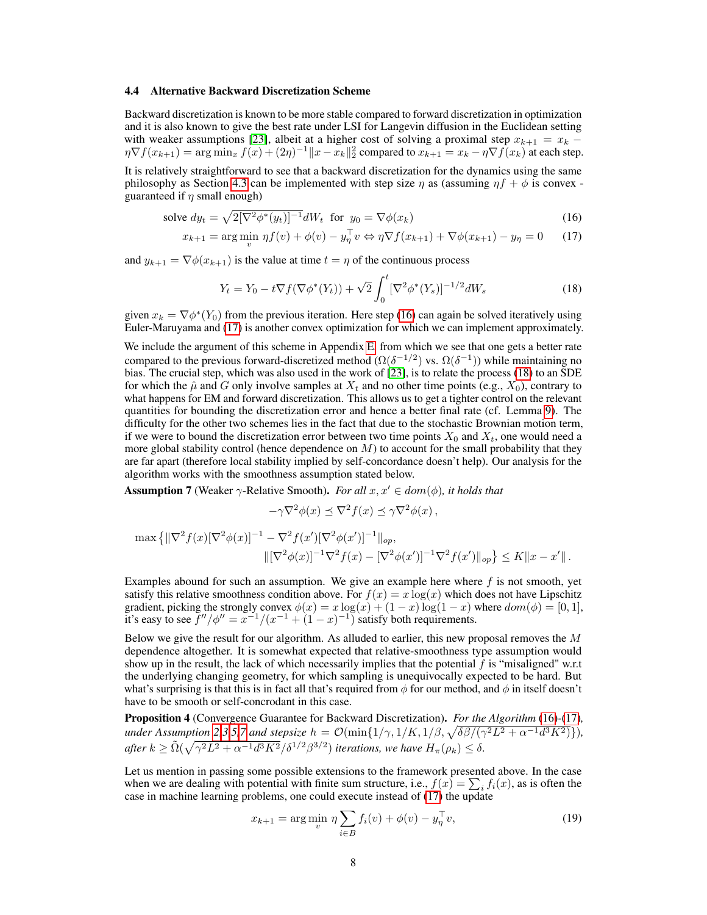#### <span id="page-7-4"></span>4.4 Alternative Backward Discretization Scheme

Backward discretization is known to be more stable compared to forward discretization in optimization and it is also known to give the best rate under LSI for Langevin diffusion in the Euclidean setting with weaker assumptions [\[23\]](#page-10-4), albeit at a higher cost of solving a proximal step  $x_{k+1} = x_k$  –  $\eta \nabla f(x_{k+1}) = \arg \min_x f(x) + (2\eta)^{-1} \|x - x_k\|_2^2$  compared to  $x_{k+1} = x_k - \eta \nabla f(x_k)$  at each step.

It is relatively straightforward to see that a backward discretization for the dynamics using the same philosophy as Section [4.3](#page-6-5) can be implemented with step size  $\eta$  as (assuming  $\eta f + \phi$  is convex guaranteed if  $\eta$  small enough)

solve 
$$
dy_t = \sqrt{2[\nabla^2 \phi^*(y_t)]^{-1}} dW_t
$$
 for  $y_0 = \nabla \phi(x_k)$  (16)

$$
x_{k+1} = \arg\min_{v} \eta f(v) + \phi(v) - y_{\eta}^{\top} v \Leftrightarrow \eta \nabla f(x_{k+1}) + \nabla \phi(x_{k+1}) - y_{\eta} = 0 \tag{17}
$$

and  $y_{k+1} = \nabla \phi(x_{k+1})$  is the value at time  $t = \eta$  of the continuous process

<span id="page-7-2"></span><span id="page-7-1"></span><span id="page-7-0"></span>
$$
Y_t = Y_0 - t \nabla f(\nabla \phi^*(Y_t)) + \sqrt{2} \int_0^t [\nabla^2 \phi^*(Y_s)]^{-1/2} dW_s \tag{18}
$$

given  $x_k = \nabla \phi^*(Y_0)$  from the previous iteration. Here step [\(16\)](#page-7-0) can again be solved iteratively using Euler-Maruyama and [\(17\)](#page-7-1) is another convex optimization for which we can implement approximately.

We include the argument of this scheme in Appendix [E,](#page-19-0) from which we see that one gets a better rate compared to the previous forward-discretized method ( $\Omega(\delta^{-1/2})$  vs.  $\Omega(\delta^{-1})$ ) while maintaining no bias. The crucial step, which was also used in the work of [\[23\]](#page-10-4), is to relate the process [\(18\)](#page-7-2) to an SDE for which the  $\hat{\mu}$  and G only involve samples at  $X_t$  and no other time points (e.g.,  $X_0$ ), contrary to what happens for EM and forward discretization. This allows us to get a tighter control on the relevant quantities for bounding the discretization error and hence a better final rate (cf. Lemma [9\)](#page-19-1). The difficulty for the other two schemes lies in the fact that due to the stochastic Brownian motion term, if we were to bound the discretization error between two time points  $X_0$  and  $X_t$ , one would need a more global stability control (hence dependence on  $M$ ) to account for the small probability that they are far apart (therefore local stability implied by self-concordance doesn't help). Our analysis for the algorithm works with the smoothness assumption stated below.

<span id="page-7-3"></span>**Assumption 7** (Weaker  $\gamma$ -Relative Smooth). *For all*  $x, x' \in dom(\phi)$ , *it holds that* 

$$
-\gamma \nabla^2 \phi(x) \preceq \nabla^2 f(x) \preceq \gamma \nabla^2 \phi(x) ,
$$

$$
\max \left\{ \|\nabla^2 f(x)[\nabla^2 \phi(x)]^{-1} - \nabla^2 f(x')[\nabla^2 \phi(x')]^{-1} \|_{op}, \right\}
$$
  

$$
\|[\nabla^2 \phi(x)]^{-1} \nabla^2 f(x) - [\nabla^2 \phi(x')]^{-1} \nabla^2 f(x') \|_{op} \right\} \le K \|x - x'\|.
$$

Examples abound for such an assumption. We give an example here where  $f$  is not smooth, yet satisfy this relative smoothness condition above. For  $f(x) = x \log(x)$  which does not have Lipschitz gradient, picking the strongly convex  $\phi(x) = x \log(x) + (1-x) \log(1-x)$  where  $dom(\phi) = [0, 1]$ , it's easy to see  $f''/\phi'' = x^{-1}/(x^{-1} + (1-x)^{-1})$  satisfy both requirements.

Below we give the result for our algorithm. As alluded to earlier, this new proposal removes the  $M$ dependence altogether. It is somewhat expected that relative-smoothness type assumption would show up in the result, the lack of which necessarily implies that the potential  $f$  is "misaligned" w.r.t the underlying changing geometry, for which sampling is unequivocally expected to be hard. But what's surprising is that this is in fact all that's required from  $\phi$  for our method, and  $\phi$  in itself doesn't have to be smooth or self-concrodant in this case.

<span id="page-7-5"></span>Proposition 4 (Convergence Guarantee for Backward Discretization). *For the Algorithm* [\(16\)](#page-7-0)*-*[\(17\)](#page-7-1)*, under* Assumption [2,](#page-2-1)[3,](#page-2-3)[5](#page-3-3)[,7](#page-7-3) and stepsize  $h = \mathcal{O}(\min\{1/\gamma, 1/K, 1/\beta, \sqrt{\delta\beta/(\gamma^2L^2 + \alpha^{-1}d^3K^2)}\}),$ *after*  $k \ge \tilde{\Omega}(\sqrt{\gamma^2 L^2 + \alpha^{-1} d^3 K^2}/\delta^{1/2} \beta^{3/2})$  *iterations, we have*  $H_{\pi}(\rho_k) \le \delta$ .

Let us mention in passing some possible extensions to the framework presented above. In the case when we are dealing with potential with finite sum structure, i.e.,  $f(x) = \sum_i f_i(x)$ , as is often the case in machine learning problems, one could execute instead of [\(17\)](#page-7-1) the update

$$
x_{k+1} = \arg\min_{v} \eta \sum_{i \in B} f_i(v) + \phi(v) - y_{\eta}^{\top} v,
$$
 (19)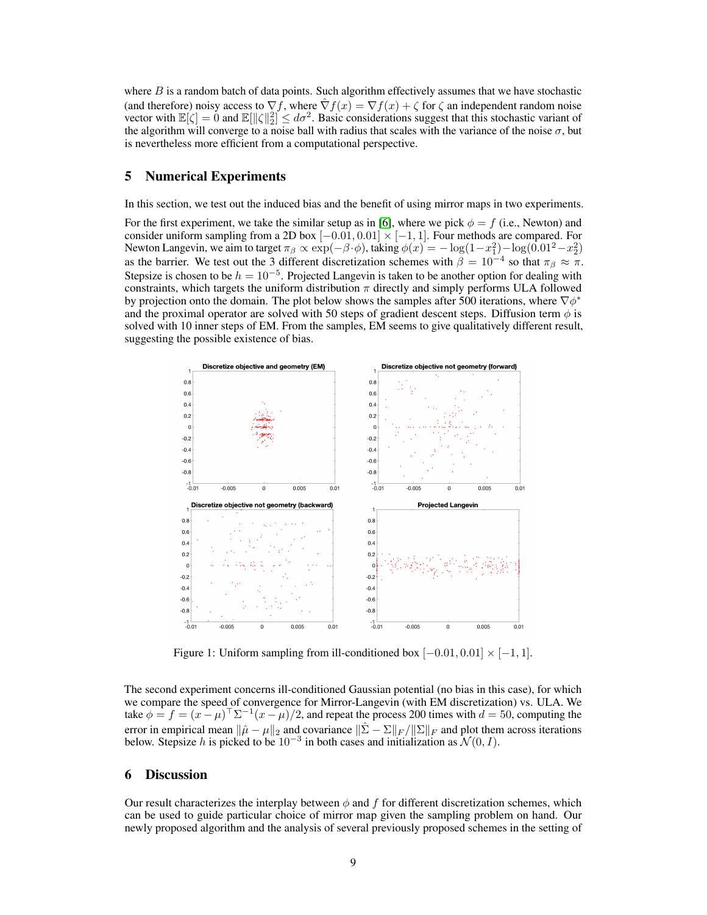where  $B$  is a random batch of data points. Such algorithm effectively assumes that we have stochastic (and therefore) noisy access to  $\nabla f$ , where  $\hat{\nabla} f(x) = \nabla f(x) + \zeta$  for  $\zeta$  an independent random noise vector with  $\mathbb{E}[\zeta] = 0$  and  $\mathbb{E}[\|\zeta\|_2^2] \leq d\sigma^2$ . Basic considerations suggest that this stochastic variant of the algorithm will converge to a noise ball with radius that scales with the variance of the noise  $\sigma$ , but is nevertheless more efficient from a computational perspective.

## 5 Numerical Experiments

In this section, we test out the induced bias and the benefit of using mirror maps in two experiments.

For the first experiment, we take the similar setup as in [\[6\]](#page-9-3), where we pick  $\phi = f$  (i.e., Newton) and consider uniform sampling from a 2D box  $[-0.01, 0.01] \times [-1, 1]$ . Four methods are compared. For Newton Langevin, we aim to target  $\pi_\beta \propto \exp(-\beta \cdot \phi)$ , taking  $\phi(x) = -\log(1-x_1^2) - \log(0.01^2 - x_2^2)$ as the barrier. We test out the 3 different discretization schemes with  $\beta = 10^{-4}$  so that  $\pi_{\beta} \approx \pi$ . Stepsize is chosen to be  $h = 10^{-5}$ . Projected Langevin is taken to be another option for dealing with constraints, which targets the uniform distribution  $\pi$  directly and simply performs ULA followed by projection onto the domain. The plot below shows the samples after 500 iterations, where  $\nabla \phi^*$ and the proximal operator are solved with 50 steps of gradient descent steps. Diffusion term  $\phi$  is solved with 10 inner steps of EM. From the samples, EM seems to give qualitatively different result, suggesting the possible existence of bias.



Figure 1: Uniform sampling from ill-conditioned box  $[-0.01, 0.01] \times [-1, 1]$ .

The second experiment concerns ill-conditioned Gaussian potential (no bias in this case), for which we compare the speed of convergence for Mirror-Langevin (with EM discretization) vs. ULA. We take  $\phi = f = (x - \mu)^{\top} \Sigma^{-1} (x - \mu)/2$ , and repeat the process 200 times with  $d = 50$ , computing the error in empirical mean  $\|\hat{\mu} - \mu\|_2$  and covariance  $\|\hat{\Sigma} - \Sigma\|_F / \|\Sigma\|_F$  and plot them across iterations below. Stepsize h is picked to be  $10^{-3}$  in both cases and initialization as  $\mathcal{N}(0, I)$ .

# 6 Discussion

Our result characterizes the interplay between  $\phi$  and f for different discretization schemes, which can be used to guide particular choice of mirror map given the sampling problem on hand. Our newly proposed algorithm and the analysis of several previously proposed schemes in the setting of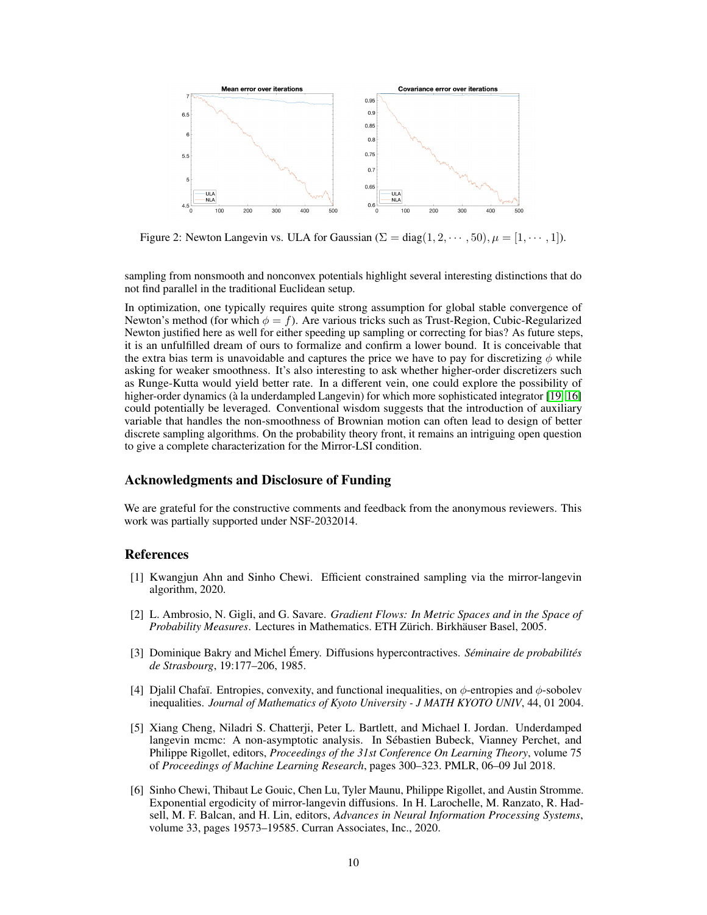

Figure 2: Newton Langevin vs. ULA for Gaussian ( $\Sigma = diag(1, 2, \dots, 50)$ ,  $\mu = [1, \dots, 1]$ ).

sampling from nonsmooth and nonconvex potentials highlight several interesting distinctions that do not find parallel in the traditional Euclidean setup.

In optimization, one typically requires quite strong assumption for global stable convergence of Newton's method (for which  $\phi = f$ ). Are various tricks such as Trust-Region, Cubic-Regularized Newton justified here as well for either speeding up sampling or correcting for bias? As future steps, it is an unfulfilled dream of ours to formalize and confirm a lower bound. It is conceivable that the extra bias term is unavoidable and captures the price we have to pay for discretizing  $\phi$  while asking for weaker smoothness. It's also interesting to ask whether higher-order discretizers such as Runge-Kutta would yield better rate. In a different vein, one could explore the possibility of higher-order dynamics (à la underdampled Langevin) for which more sophisticated integrator [\[19,](#page-10-8) [16\]](#page-10-9) could potentially be leveraged. Conventional wisdom suggests that the introduction of auxiliary variable that handles the non-smoothness of Brownian motion can often lead to design of better discrete sampling algorithms. On the probability theory front, it remains an intriguing open question to give a complete characterization for the Mirror-LSI condition.

## Acknowledgments and Disclosure of Funding

We are grateful for the constructive comments and feedback from the anonymous reviewers. This work was partially supported under NSF-2032014.

## References

- <span id="page-9-2"></span>[1] Kwangjun Ahn and Sinho Chewi. Efficient constrained sampling via the mirror-langevin algorithm, 2020.
- <span id="page-9-4"></span>[2] L. Ambrosio, N. Gigli, and G. Savare. *Gradient Flows: In Metric Spaces and in the Space of Probability Measures*. Lectures in Mathematics. ETH Zürich. Birkhäuser Basel, 2005.
- <span id="page-9-0"></span>[3] Dominique Bakry and Michel Émery. Diffusions hypercontractives. *Séminaire de probabilités de Strasbourg*, 19:177–206, 1985.
- <span id="page-9-5"></span>[4] Djalil Chafaï. Entropies, convexity, and functional inequalities, on  $\phi$ -entropies and  $\phi$ -sobolev inequalities. *Journal of Mathematics of Kyoto University - J MATH KYOTO UNIV*, 44, 01 2004.
- <span id="page-9-1"></span>[5] Xiang Cheng, Niladri S. Chatterji, Peter L. Bartlett, and Michael I. Jordan. Underdamped langevin mcmc: A non-asymptotic analysis. In Sébastien Bubeck, Vianney Perchet, and Philippe Rigollet, editors, *Proceedings of the 31st Conference On Learning Theory*, volume 75 of *Proceedings of Machine Learning Research*, pages 300–323. PMLR, 06–09 Jul 2018.
- <span id="page-9-3"></span>[6] Sinho Chewi, Thibaut Le Gouic, Chen Lu, Tyler Maunu, Philippe Rigollet, and Austin Stromme. Exponential ergodicity of mirror-langevin diffusions. In H. Larochelle, M. Ranzato, R. Hadsell, M. F. Balcan, and H. Lin, editors, *Advances in Neural Information Processing Systems*, volume 33, pages 19573–19585. Curran Associates, Inc., 2020.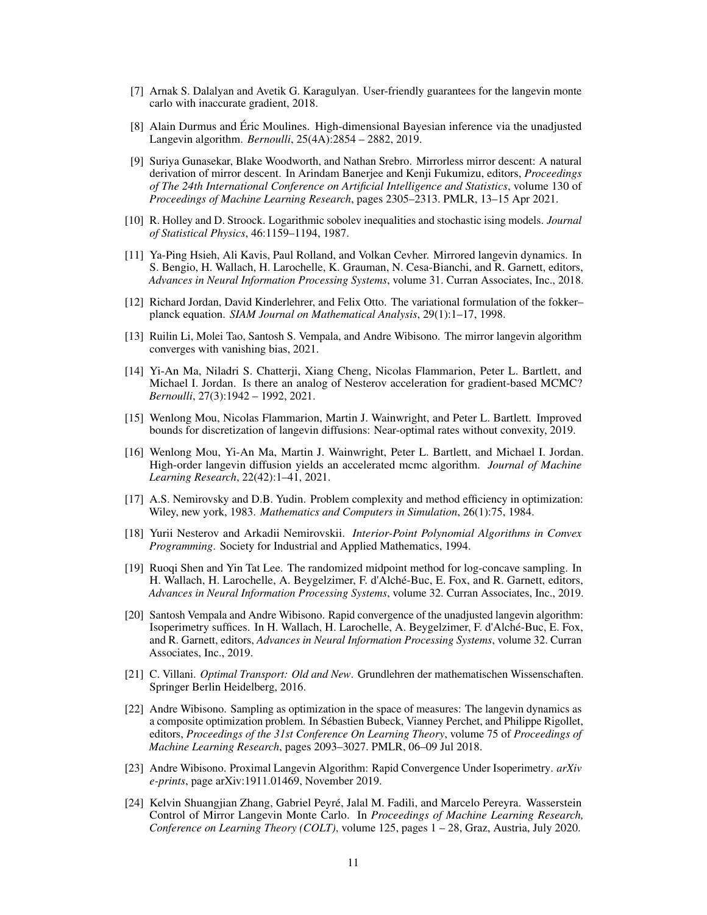- <span id="page-10-7"></span>[7] Arnak S. Dalalyan and Avetik G. Karagulyan. User-friendly guarantees for the langevin monte carlo with inaccurate gradient, 2018.
- <span id="page-10-6"></span>[8] Alain Durmus and Éric Moulines. High-dimensional Bayesian inference via the unadjusted Langevin algorithm. *Bernoulli*, 25(4A):2854 – 2882, 2019.
- <span id="page-10-17"></span>[9] Suriya Gunasekar, Blake Woodworth, and Nathan Srebro. Mirrorless mirror descent: A natural derivation of mirror descent. In Arindam Banerjee and Kenji Fukumizu, editors, *Proceedings of The 24th International Conference on Artificial Intelligence and Statistics*, volume 130 of *Proceedings of Machine Learning Research*, pages 2305–2313. PMLR, 13–15 Apr 2021.
- <span id="page-10-2"></span>[10] R. Holley and D. Stroock. Logarithmic sobolev inequalities and stochastic ising models. *Journal of Statistical Physics*, 46:1159–1194, 1987.
- <span id="page-10-10"></span>[11] Ya-Ping Hsieh, Ali Kavis, Paul Rolland, and Volkan Cevher. Mirrored langevin dynamics. In S. Bengio, H. Wallach, H. Larochelle, K. Grauman, N. Cesa-Bianchi, and R. Garnett, editors, *Advances in Neural Information Processing Systems*, volume 31. Curran Associates, Inc., 2018.
- <span id="page-10-0"></span>[12] Richard Jordan, David Kinderlehrer, and Felix Otto. The variational formulation of the fokker– planck equation. *SIAM Journal on Mathematical Analysis*, 29(1):1–17, 1998.
- <span id="page-10-12"></span>[13] Ruilin Li, Molei Tao, Santosh S. Vempala, and Andre Wibisono. The mirror langevin algorithm converges with vanishing bias, 2021.
- <span id="page-10-3"></span>[14] Yi-An Ma, Niladri S. Chatterji, Xiang Cheng, Nicolas Flammarion, Peter L. Bartlett, and Michael I. Jordan. Is there an analog of Nesterov acceleration for gradient-based MCMC? *Bernoulli*, 27(3):1942 – 1992, 2021.
- <span id="page-10-5"></span>[15] Wenlong Mou, Nicolas Flammarion, Martin J. Wainwright, and Peter L. Bartlett. Improved bounds for discretization of langevin diffusions: Near-optimal rates without convexity, 2019.
- <span id="page-10-9"></span>[16] Wenlong Mou, Yi-An Ma, Martin J. Wainwright, Peter L. Bartlett, and Michael I. Jordan. High-order langevin diffusion yields an accelerated mcmc algorithm. *Journal of Machine Learning Research*, 22(42):1–41, 2021.
- <span id="page-10-1"></span>[17] A.S. Nemirovsky and D.B. Yudin. Problem complexity and method efficiency in optimization: Wiley, new york, 1983. *Mathematics and Computers in Simulation*, 26(1):75, 1984.
- <span id="page-10-13"></span>[18] Yurii Nesterov and Arkadii Nemirovskii. *Interior-Point Polynomial Algorithms in Convex Programming*. Society for Industrial and Applied Mathematics, 1994.
- <span id="page-10-8"></span>[19] Ruoqi Shen and Yin Tat Lee. The randomized midpoint method for log-concave sampling. In H. Wallach, H. Larochelle, A. Beygelzimer, F. d'Alché-Buc, E. Fox, and R. Garnett, editors, *Advances in Neural Information Processing Systems*, volume 32. Curran Associates, Inc., 2019.
- <span id="page-10-16"></span>[20] Santosh Vempala and Andre Wibisono. Rapid convergence of the unadjusted langevin algorithm: Isoperimetry suffices. In H. Wallach, H. Larochelle, A. Beygelzimer, F. d'Alché-Buc, E. Fox, and R. Garnett, editors, *Advances in Neural Information Processing Systems*, volume 32. Curran Associates, Inc., 2019.
- <span id="page-10-15"></span>[21] C. Villani. *Optimal Transport: Old and New*. Grundlehren der mathematischen Wissenschaften. Springer Berlin Heidelberg, 2016.
- <span id="page-10-14"></span>[22] Andre Wibisono. Sampling as optimization in the space of measures: The langevin dynamics as a composite optimization problem. In Sébastien Bubeck, Vianney Perchet, and Philippe Rigollet, editors, *Proceedings of the 31st Conference On Learning Theory*, volume 75 of *Proceedings of Machine Learning Research*, pages 2093–3027. PMLR, 06–09 Jul 2018.
- <span id="page-10-4"></span>[23] Andre Wibisono. Proximal Langevin Algorithm: Rapid Convergence Under Isoperimetry. *arXiv e-prints*, page arXiv:1911.01469, November 2019.
- <span id="page-10-11"></span>[24] Kelvin Shuangjian Zhang, Gabriel Peyré, Jalal M. Fadili, and Marcelo Pereyra. Wasserstein Control of Mirror Langevin Monte Carlo. In *Proceedings of Machine Learning Research, Conference on Learning Theory (COLT)*, volume 125, pages 1 – 28, Graz, Austria, July 2020.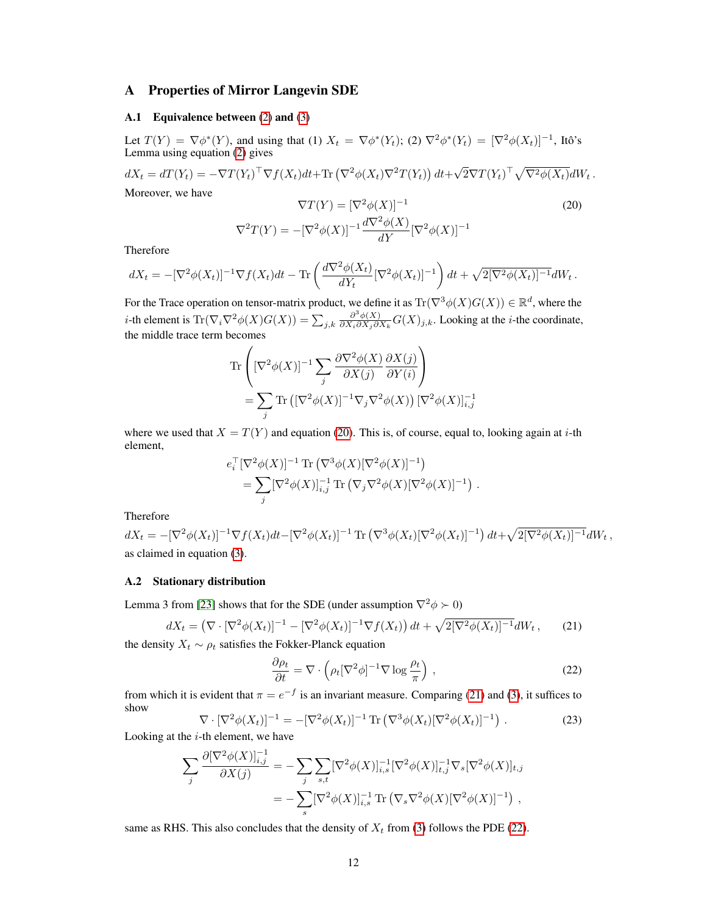# <span id="page-11-0"></span>A Properties of Mirror Langevin SDE

#### <span id="page-11-4"></span>A.1 Equivalence between [\(2\)](#page-1-2) and [\(3\)](#page-1-3)

Let  $T(Y) = \nabla \phi^*(Y)$ , and using that (1)  $X_t = \nabla \phi^*(Y_t)$ ; (2)  $\nabla^2 \phi^*(Y_t) = [\nabla^2 \phi(X_t)]^{-1}$ , Itô's Lemma using equation [\(2\)](#page-1-2) gives

 $dX_t = dT(Y_t) = -\nabla T(Y_t)^\top \nabla f(X_t) dt + \text{Tr}(\nabla^2 \phi(X_t) \nabla^2 T(Y_t)) dt +$ √  $\overline{2}\nabla T(Y_t)^\top \sqrt{\nabla^2\phi(X_t)}dW_t$ .

Moreover, we have

<span id="page-11-2"></span>
$$
\nabla T(Y) = [\nabla^2 \phi(X)]^{-1}
$$

$$
\nabla^2 T(Y) = -[\nabla^2 \phi(X)]^{-1} \frac{d\nabla^2 \phi(X)}{dY} [\nabla^2 \phi(X)]^{-1}
$$

(20)

Therefore

$$
dX_t = -[\nabla^2 \phi(X_t)]^{-1} \nabla f(X_t) dt - \text{Tr}\left(\frac{d\nabla^2 \phi(X_t)}{dY_t} [\nabla^2 \phi(X_t)]^{-1}\right) dt + \sqrt{2[\nabla^2 \phi(X_t)]^{-1}} dW_t.
$$

For the Trace operation on tensor-matrix product, we define it as  $\text{Tr}(\nabla^3 \phi(X) G(X)) \in \mathbb{R}^d$ , where the *i*-th element is  $\text{Tr}(\nabla_i \nabla^2 \phi(X) G(X)) = \sum_{j,k} \frac{\partial^3 \phi(X)}{\partial X_i \partial X_j \partial X_j}$  $\frac{\partial^{\alpha}\phi(X)}{\partial X_i \partial X_j \partial X_k} G(X)_{j,k}$ . Looking at the *i*-the coordinate, the middle trace term becomes

$$
\operatorname{Tr}\left([\nabla^2 \phi(X)]^{-1} \sum_j \frac{\partial \nabla^2 \phi(X)}{\partial X(j)} \frac{\partial X(j)}{\partial Y(i)}\right)
$$
  
= 
$$
\sum_j \operatorname{Tr}\left([\nabla^2 \phi(X)]^{-1} \nabla_j \nabla^2 \phi(X)\right) [\nabla^2 \phi(X)]_{i,j}^{-1}
$$

where we used that  $X = T(Y)$  and equation [\(20\)](#page-11-2). This is, of course, equal to, looking again at *i*-th element,

$$
e_i^{\top} [\nabla^2 \phi(X)]^{-1} \text{ Tr} (\nabla^3 \phi(X) [\nabla^2 \phi(X)]^{-1})
$$
  
= 
$$
\sum_j [\nabla^2 \phi(X)]_{i,j}^{-1} \text{ Tr} (\nabla_j \nabla^2 \phi(X) [\nabla^2 \phi(X)]^{-1}).
$$

Therefore

 $dX_t = -[\nabla^2 \phi(X_t)]^{-1} \nabla f(X_t) dt - [\nabla^2 \phi(X_t)]^{-1} \text{ Tr} (\nabla^3 \phi(X_t) [\nabla^2 \phi(X_t)]^{-1}) dt + \sqrt{2[\nabla^2 \phi(X_t)]^{-1}} dW_t,$ as claimed in equation [\(3\)](#page-1-3).

#### A.2 Stationary distribution

Lemma 3 from [\[23\]](#page-10-4) shows that for the SDE (under assumption  $\nabla^2 \phi \succ 0$ )

$$
dX_t = \left(\nabla \cdot [\nabla^2 \phi(X_t)]^{-1} - [\nabla^2 \phi(X_t)]^{-1} \nabla f(X_t)\right) dt + \sqrt{2[\nabla^2 \phi(X_t)]^{-1}} dW_t,
$$
 (21)

the density  $X_t \sim \rho_t$  satisfies the Fokker-Planck equation

<span id="page-11-3"></span><span id="page-11-1"></span>
$$
\frac{\partial \rho_t}{\partial t} = \nabla \cdot \left( \rho_t [\nabla^2 \phi]^{-1} \nabla \log \frac{\rho_t}{\pi} \right) , \qquad (22)
$$

<span id="page-11-5"></span>from which it is evident that  $\pi = e^{-f}$  is an invariant measure. Comparing [\(21\)](#page-11-3) and [\(3\)](#page-1-3), it suffices to show

$$
\nabla \cdot [\nabla^2 \phi(X_t)]^{-1} = -[\nabla^2 \phi(X_t)]^{-1} \operatorname{Tr} (\nabla^3 \phi(X_t) [\nabla^2 \phi(X_t)]^{-1}) . \tag{23}
$$

Looking at the  $i$ -th element, we have

$$
\sum_{j} \frac{\partial [\nabla^{2} \phi(X)]_{i,j}^{-1}}{\partial X(j)} = -\sum_{j} \sum_{s,t} [\nabla^{2} \phi(X)]_{i,s}^{-1} [\nabla^{2} \phi(X)]_{t,j}^{-1} \nabla_{s} [\nabla^{2} \phi(X)]_{t,j} \n= -\sum_{s} [\nabla^{2} \phi(X)]_{i,s}^{-1} \operatorname{Tr} (\nabla_{s} \nabla^{2} \phi(X) [\nabla^{2} \phi(X)]^{-1}),
$$

same as RHS. This also concludes that the density of  $X_t$  from [\(3\)](#page-1-3) follows the PDE [\(22\)](#page-11-1).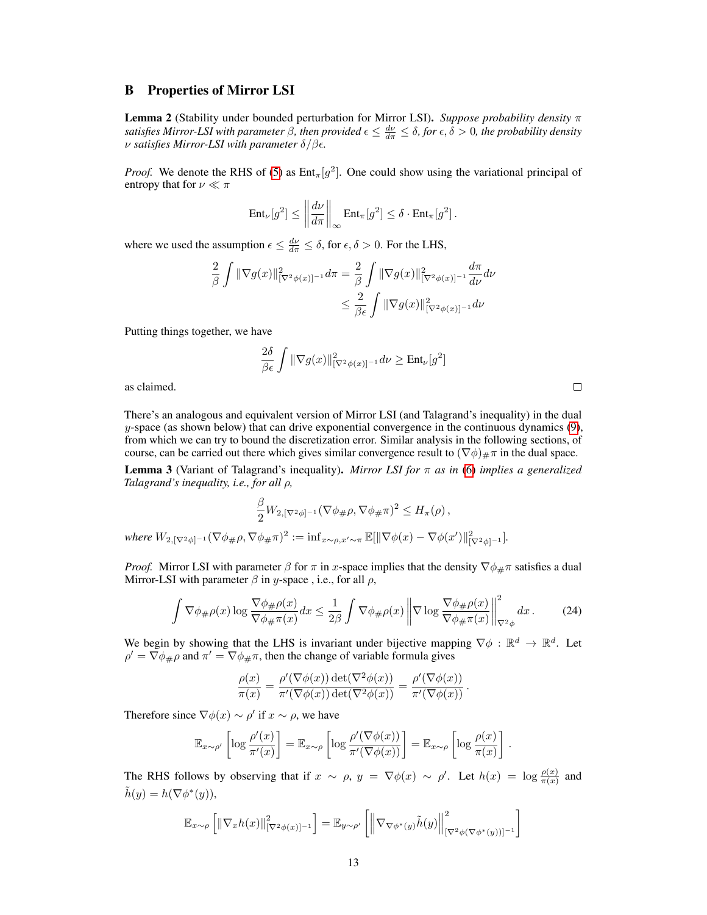### <span id="page-12-0"></span>B Properties of Mirror LSI

Lemma 2 (Stability under bounded perturbation for Mirror LSI). *Suppose probability density* π *satisfies Mirror-LSI with parameter*  $\beta$ *, then provided*  $\epsilon \leq \frac{d\nu}{d\pi} \leq \delta$ , for  $\epsilon, \delta > 0$ , the probability density ν *satisfies Mirror-LSI with parameter* δ/β*.*

*Proof.* We denote the RHS of [\(5\)](#page-2-4) as  $Ent_{\pi}[g^2]$ . One could show using the variational principal of entropy that for  $\nu \ll \pi$ 

$$
\mathrm{Ent}_{\nu}[g^2] \le \left\| \frac{d\nu}{d\pi} \right\|_{\infty} \mathrm{Ent}_{\pi}[g^2] \le \delta \cdot \mathrm{Ent}_{\pi}[g^2].
$$

where we used the assumption  $\epsilon \leq \frac{d\nu}{d\pi} \leq \delta$ , for  $\epsilon, \delta > 0$ . For the LHS,

$$
\frac{2}{\beta} \int \|\nabla g(x)\|_{[\nabla^2 \phi(x)]^{-1}}^2 d\pi = \frac{2}{\beta} \int \|\nabla g(x)\|_{[\nabla^2 \phi(x)]^{-1}}^2 \frac{d\pi}{d\nu} d\nu
$$
  

$$
\leq \frac{2}{\beta \epsilon} \int \|\nabla g(x)\|_{[\nabla^2 \phi(x)]^{-1}}^2 d\nu
$$

Putting things together, we have

$$
\frac{2\delta}{\beta\epsilon} \int \|\nabla g(x)\|_{[\nabla^2 \phi(x)]^{-1}}^2 d\nu \ge \text{Ent}_{\nu}[g^2]
$$

as claimed.

There's an analogous and equivalent version of Mirror LSI (and Talagrand's inequality) in the dual  $y$ -space (as shown below) that can drive exponential convergence in the continuous dynamics  $(9)$ , from which we can try to bound the discretization error. Similar analysis in the following sections, of course, can be carried out there which gives similar convergence result to  $(\nabla \phi)_{\#} \pi$  in the dual space.

Lemma 3 (Variant of Talagrand's inequality). *Mirror LSI for* π *as in* [\(6\)](#page-2-0) *implies a generalized Talagrand's inequality, i.e., for all* ρ*,*

<span id="page-12-1"></span>
$$
\frac{\beta}{2}W_{2,[\nabla^2\phi]^{-1}}(\nabla\phi_{\#}\rho,\nabla\phi_{\#}\pi)^2\leq H_{\pi}(\rho)\,,
$$

 $where W_{2, [\nabla^2 \phi]^{-1}}(\nabla \phi_{\#} \rho, \nabla \phi_{\#} \pi)^2 := \inf_{x \sim \rho, x' \sim \pi} \mathbb{E}[\|\nabla \phi(x) - \nabla \phi(x')\|_{[\nabla^2 \phi]^{-1}}^2].$ 

*Proof.* Mirror LSI with parameter  $\beta$  for  $\pi$  in x-space implies that the density  $\nabla \phi_{\#} \pi$  satisfies a dual Mirror-LSI with parameter  $\beta$  in y-space, i.e., for all  $\rho$ ,

$$
\int \nabla \phi_{\#}\rho(x) \log \frac{\nabla \phi_{\#}\rho(x)}{\nabla \phi_{\#}\pi(x)} dx \le \frac{1}{2\beta} \int \nabla \phi_{\#}\rho(x) \left\| \nabla \log \frac{\nabla \phi_{\#}\rho(x)}{\nabla \phi_{\#}\pi(x)} \right\|_{\nabla^2 \phi}^2 dx. \tag{24}
$$

We begin by showing that the LHS is invariant under bijective mapping  $\nabla \phi : \mathbb{R}^d \to \mathbb{R}^d$ . Let  $\rho' = \nabla \phi_{\#} \rho$  and  $\pi' = \nabla \phi_{\#} \pi$ , then the change of variable formula gives

$$
\frac{\rho(x)}{\pi(x)} = \frac{\rho'(\nabla \phi(x)) \det(\nabla^2 \phi(x))}{\pi'(\nabla \phi(x)) \det(\nabla^2 \phi(x))} = \frac{\rho'(\nabla \phi(x))}{\pi'(\nabla \phi(x))}.
$$

Therefore since  $\nabla \phi(x) \sim \rho'$  if  $x \sim \rho$ , we have

$$
\mathbb{E}_{x \sim \rho'} \left[ \log \frac{\rho'(x)}{\pi'(x)} \right] = \mathbb{E}_{x \sim \rho} \left[ \log \frac{\rho'(\nabla \phi(x))}{\pi'(\nabla \phi(x))} \right] = \mathbb{E}_{x \sim \rho} \left[ \log \frac{\rho(x)}{\pi(x)} \right].
$$

The RHS follows by observing that if  $x \sim \rho$ ,  $y = \nabla \phi(x) \sim \rho'$ . Let  $h(x) = \log \frac{\rho(x)}{\pi(x)}$  and  $\tilde{h}(y) = h(\nabla \phi^*(y)),$ 

$$
\mathbb{E}_{x \sim \rho} \left[ \left\| \nabla_x h(x) \right\|_{[\nabla^2 \phi(x)]^{-1}}^2 \right] = \mathbb{E}_{y \sim \rho'} \left[ \left\| \nabla_{\nabla \phi^*(y)} \tilde{h}(y) \right\|_{[\nabla^2 \phi(\nabla \phi^*(y))]^{-1}}^2 \right]
$$

 $\Box$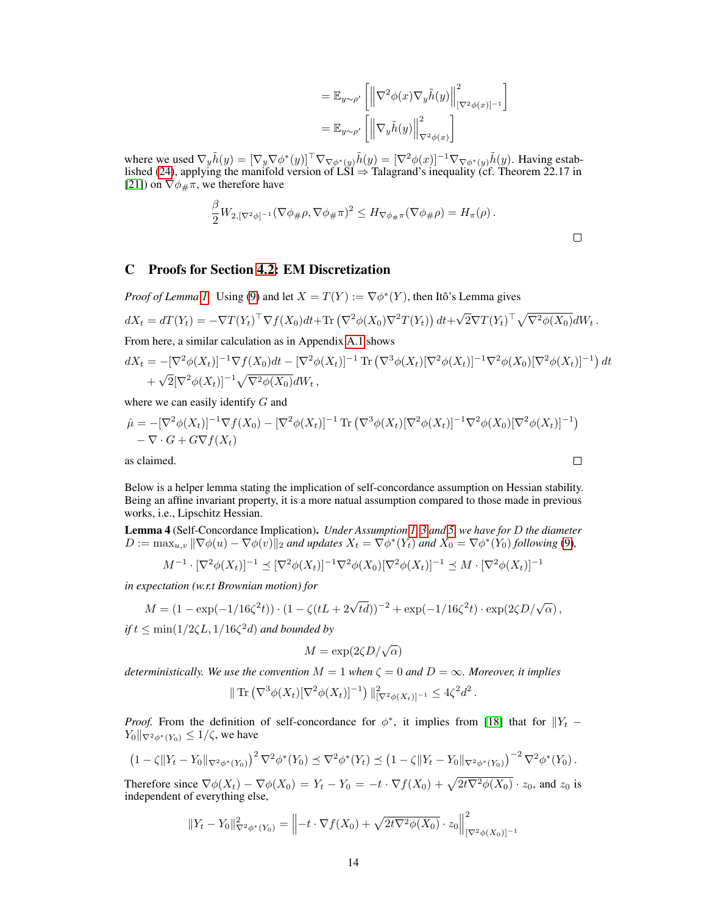$$
= \mathbb{E}_{y \sim \rho'} \left[ \left\| \nabla^2 \phi(x) \nabla_y \tilde{h}(y) \right\|_{\left[\nabla^2 \phi(x)\right]^{-1}}^2 \right]
$$
  

$$
= \mathbb{E}_{y \sim \rho'} \left[ \left\| \nabla_y \tilde{h}(y) \right\|_{\nabla^2 \phi(x)}^2 \right]
$$

where we used  $\nabla_y \tilde{h}(y) = [\nabla_y \nabla \phi^*(y)]^\top \nabla_{\nabla \phi^*(y)} \tilde{h}(y) = [\nabla^2 \phi(x)]^{-1} \nabla_{\nabla \phi^*(y)} \tilde{h}(y)$ . Having estab-lished [\(24\)](#page-12-1), applying the manifold version of LSI  $\Rightarrow$  Talagrand's inequality (cf. Theorem 22.17 in [\[21\]](#page-10-15)) on  $\nabla \phi_{\#} \pi$ , we therefore have

$$
\frac{\beta}{2}W_{2,[\nabla^2\phi]^{-1}}(\nabla\phi_{\#}\rho,\nabla\phi_{\#}\pi)^2 \leq H_{\nabla\phi_{\#}\pi}(\nabla\phi_{\#}\rho) = H_{\pi}(\rho).
$$

# <span id="page-13-1"></span>C Proofs for Section [4.2:](#page-4-3) EM Discretization

*Proof of Lemma [1.](#page-4-0)* Using [\(9\)](#page-4-2) and let  $X = T(Y) := \nabla \phi^*(Y)$ , then Itô's Lemma gives

$$
dX_t = dT(Y_t) = -\nabla T(Y_t)^\top \nabla f(X_0) dt + \text{Tr} \left( \nabla^2 \phi(X_0) \nabla^2 T(Y_t) \right) dt + \sqrt{2} \nabla T(Y_t)^\top \sqrt{\nabla^2 \phi(X_0)} dW_t.
$$

From here, a similar calculation as in Appendix [A.1](#page-11-4) shows

$$
dX_t = -[\nabla^2 \phi(X_t)]^{-1} \nabla f(X_0) dt - [\nabla^2 \phi(X_t)]^{-1} \operatorname{Tr} (\nabla^3 \phi(X_t) [\nabla^2 \phi(X_t)]^{-1} \nabla^2 \phi(X_0) [\nabla^2 \phi(X_t)]^{-1}) dt + \sqrt{2}[\nabla^2 \phi(X_t)]^{-1} \sqrt{\nabla^2 \phi(X_0)} dW_t,
$$

where we can easily identify G and

$$
\hat{\mu} = -[\nabla^2 \phi(X_t)]^{-1} \nabla f(X_0) - [\nabla^2 \phi(X_t)]^{-1} \operatorname{Tr} (\nabla^3 \phi(X_t) [\nabla^2 \phi(X_t)]^{-1} \nabla^2 \phi(X_0) [\nabla^2 \phi(X_t)]^{-1})
$$
  
–  $\nabla \cdot G + G \nabla f(X_t)$   
as claimed.

as claimed.

Below is a helper lemma stating the implication of self-concordance assumption on Hessian stability. Being an affine invariant property, it is a more natual assumption compared to those made in previous works, i.e., Lipschitz Hessian.

<span id="page-13-0"></span>Lemma 4 (Self-Concordance Implication). *Under Assumption [1,](#page-2-2) [3](#page-2-3) and [5,](#page-3-3) we have for* D *the diameter*  $D := \max_{u,v} \|\nabla \phi(u) - \nabla \phi(v)\|_2$  and updates  $X_t = \nabla \phi^*(Y_t)$  and  $X_0 = \nabla \phi^*(Y_0)$  following [\(9\)](#page-4-2),

$$
M^{-1} \cdot [\nabla^2 \phi(X_t)]^{-1} \preceq [\nabla^2 \phi(X_t)]^{-1} \nabla^2 \phi(X_0) [\nabla^2 \phi(X_t)]^{-1} \preceq M \cdot [\nabla^2 \phi(X_t)]^{-1}
$$

*in expectation (w.r.t Brownian motion) for*

$$
M = (1 - \exp(-1/16\zeta^2 t)) \cdot (1 - \zeta (tL + 2\sqrt{td}))^{-2} + \exp(-1/16\zeta^2 t) \cdot \exp(2\zeta D/\sqrt{\alpha}),
$$

*if*  $t \le \min(1/2\zeta L, 1/16\zeta^2 d)$  *and bounded by* 

$$
M = \exp(2\zeta D/\sqrt{\alpha})
$$

*deterministically. We use the convention*  $M = 1$  *when*  $\zeta = 0$  *and*  $D = \infty$ *. Moreover, it implies* 

$$
\| \operatorname{Tr} (\nabla^3 \phi(X_t) [\nabla^2 \phi(X_t)]^{-1}) \|_{[\nabla^2 \phi(X_t)]^{-1}}^2 \le 4 \zeta^2 d^2.
$$

*Proof.* From the definition of self-concordance for  $\phi^*$ , it implies from [\[18\]](#page-10-13) that for  $||Y_t Y_0\|\nabla^2\phi^*(Y_0)\leq 1/\zeta$ , we have

$$
(1 - \zeta ||Y_t - Y_0||_{\nabla^2 \phi^*(Y_0)})^2 \nabla^2 \phi^*(Y_0) \preceq \nabla^2 \phi^*(Y_t) \preceq (1 - \zeta ||Y_t - Y_0||_{\nabla^2 \phi^*(Y_0)})^{-2} \nabla^2 \phi^*(Y_0).
$$

Therefore since  $\nabla \phi(X_t) - \nabla \phi(X_0) = Y_t - Y_0 = -t \cdot \nabla f(X_0) + \sqrt{2t \nabla^2 \phi(X_0)} \cdot z_0$ , and  $z_0$  is independent of everything else,

$$
||Y_t - Y_0||^2_{\nabla^2 \phi^*(Y_0)} = ||-t \cdot \nabla f(X_0) + \sqrt{2t \nabla^2 \phi(X_0)} \cdot z_0||^2_{[\nabla^2 \phi(X_0)]^{-1}}
$$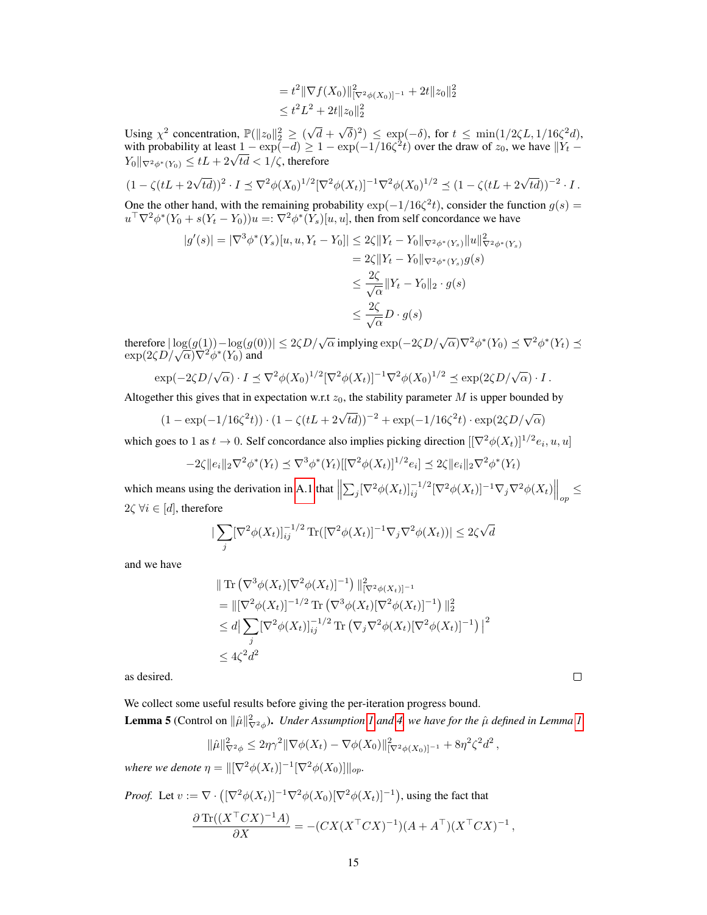$$
= t2 ||\nabla f(X_0)||_{[\nabla^2 \phi(X_0)]^{-1}}^2 + 2t ||z_0||_2^2
$$
  

$$
\leq t2 L2 + 2t ||z_0||_2^2
$$

Using  $\chi^2$  concentration,  $\mathbb{P}(\Vert z_0 \Vert_2^2 \geq 0)$ √  $d +$ √  $(\overline{\delta})^2$   $\leq$  exp(- $\delta$ ), for  $t \leq \min(1/2\zeta L, 1/16\zeta^2 d)$ , with probability at least  $1 - \exp(-d) \ge 1 - \exp(-1/16\zeta^2 t)$  over the draw of  $z_0$ , we have  $||Y_t$ with probability at least  $1 - \exp(-a) \ge 1 - 1$ <br>  $Y_0 ||_{\nabla^2 \phi^*(Y_0)} \le tL + 2\sqrt{td} < 1/\zeta$ , therefore

$$
(1 - \zeta(tL + 2\sqrt{td}))^{2} \cdot I \preceq \nabla^{2} \phi(X_{0})^{1/2} [\nabla^{2} \phi(X_{t})]^{-1} \nabla^{2} \phi(X_{0})^{1/2} \preceq (1 - \zeta(tL + 2\sqrt{td}))^{-2} \cdot I.
$$

One the other hand, with the remaining probability  $\exp(-1/16\zeta^2 t)$ , consider the function  $g(s)$  =  $u^\top \nabla^2 \phi^*(Y_0+s(Y_t-Y_0))u =: \nabla^2 \phi^*(Y_s)[u,u],$  then from self concordance we have

$$
|g'(s)| = |\nabla^3 \phi^*(Y_s)[u, u, Y_t - Y_0]| \le 2\zeta ||Y_t - Y_0||_{\nabla^2 \phi^*(Y_s)} ||u||_{\nabla^2 \phi^*(Y_s)}^2
$$
  
= 2 $\zeta ||Y_t - Y_0||_{\nabla^2 \phi^*(Y_s)} g(s)$   
 $\le \frac{2\zeta}{\sqrt{\alpha}} ||Y_t - Y_0||_2 \cdot g(s)$   
 $\le \frac{2\zeta}{\sqrt{\alpha}} D \cdot g(s)$ 

therefore  $|\log(g(1)) - \log(g(0))| \leq 2\zeta D/\sqrt{\alpha}$  implying  $\exp(-2\zeta D/\sqrt{\alpha})\nabla^2\phi^*(Y_0) \preceq \nabla^2\phi^*(Y_t) \preceq \exp(2\zeta D/\sqrt{\alpha})\nabla^2\phi^*(Y_0)$  and

$$
\exp(-2\zeta D/\sqrt{\alpha})\cdot I \preceq \nabla^2 \phi(X_0)^{1/2} [\nabla^2 \phi(X_t)]^{-1} \nabla^2 \phi(X_0)^{1/2} \preceq \exp(2\zeta D/\sqrt{\alpha})\cdot I.
$$

Altogether this gives that in expectation w.r.t  $z_0$ , the stability parameter M is upper bounded by

$$
(1 - \exp(-1/16\zeta^2 t)) \cdot (1 - \zeta(tL + 2\sqrt{td}))^{-2} + \exp(-1/16\zeta^2 t) \cdot \exp(2\zeta D/\sqrt{\alpha})
$$

which goes to 1 as  $t \to 0$ . Self concordance also implies picking direction  $[[\nabla^2 \phi(X_t)]^{1/2} e_i, u, u]$ 

$$
-2\zeta \|e_i\|_2 \nabla^2 \phi^*(Y_t) \preceq \nabla^3 \phi^*(Y_t) \left[ [\nabla^2 \phi(X_t)]^{1/2} e_i \right] \preceq 2\zeta \|e_i\|_2 \nabla^2 \phi^*(Y_t)
$$

which means using the derivation in [A.1](#page-11-4) that  $\left\| \sum_j [\nabla^2 \phi(X_t)]_{ij}^{-1/2} [\nabla^2 \phi(X_t)]^{-1} \nabla_j \nabla^2 \phi(X_t) \right\|_{op} \leq$  $2\zeta \,\forall i \in [d]$ , therefore

$$
\left|\sum_{j} [\nabla^2 \phi(X_t)]_{ij}^{-1/2} \operatorname{Tr}([\nabla^2 \phi(X_t)]^{-1} \nabla_j \nabla^2 \phi(X_t))\right| \le 2\zeta \sqrt{d}
$$

and we have

$$
\|\operatorname{Tr} (\nabla^3 \phi(X_t) [\nabla^2 \phi(X_t)]^{-1}) \|_{[\nabla^2 \phi(X_t)]^{-1}}^2
$$
  
= 
$$
\| [\nabla^2 \phi(X_t)]^{-1/2} \operatorname{Tr} (\nabla^3 \phi(X_t) [\nabla^2 \phi(X_t)]^{-1}) \|_2^2
$$
  

$$
\leq d \|\sum_j [\nabla^2 \phi(X_t)]_{ij}^{-1/2} \operatorname{Tr} (\nabla_j \nabla^2 \phi(X_t) [\nabla^2 \phi(X_t)]^{-1})|^2
$$
  

$$
\leq 4\zeta^2 d^2
$$

as desired.

We collect some useful results before giving the per-iteration progress bound.

<span id="page-14-0"></span>**Lemma 5** (Control on  $\|\hat{\mu}\|^2_{\nabla^2\phi}$ ). *Under Assumption [1](#page-4-0) and [4,](#page-3-4) we have for the*  $\hat{\mu}$  *defined in Lemma 1* 

$$
\|\hat{\mu}\|_{\nabla^2 \phi}^2 \leq 2\eta \gamma^2 \|\nabla \phi(X_t) - \nabla \phi(X_0)\|_{\nabla^2 \phi(X_0)]^{-1}}^2 + 8\eta^2 \zeta^2 d^2,
$$

*where we denote*  $\eta = ||[\nabla^2 \phi(X_t)]^{-1} [\nabla^2 \phi(X_0)]||_{op}$ .

*Proof.* Let 
$$
v := \nabla \cdot \left( [\nabla^2 \phi(X_t)]^{-1} \nabla^2 \phi(X_0) [\nabla^2 \phi(X_t)]^{-1} \right)
$$
, using the fact that\n
$$
\frac{\partial \text{Tr}((X^\top CX)^{-1}A)}{\partial X} = -(CX(X^\top CX)^{-1})(A + A^\top)(X^\top CX)^{-1},
$$

 $\Box$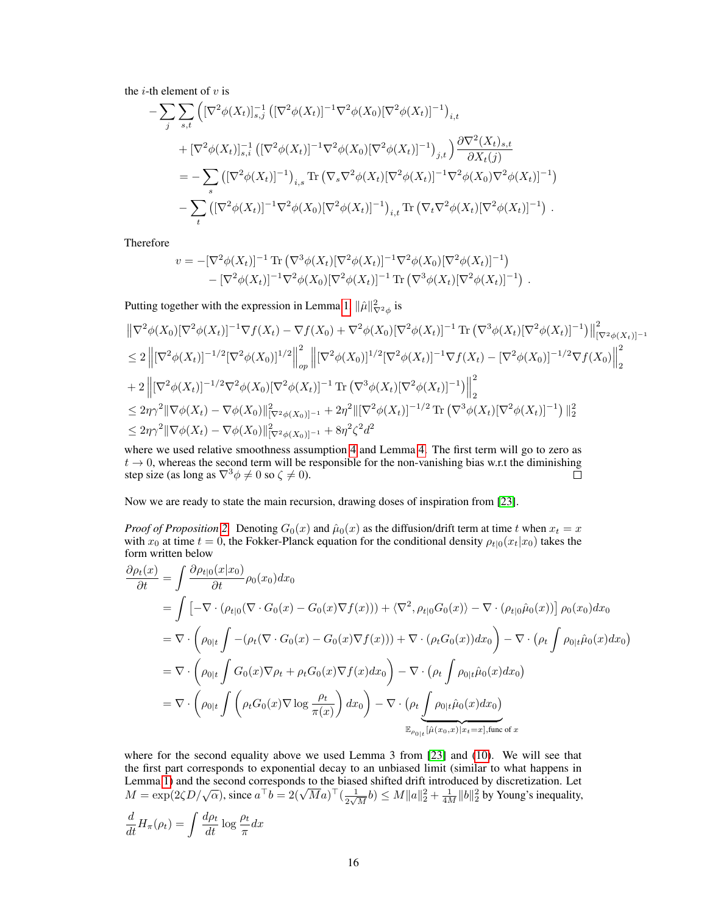the *i*-th element of  $v$  is

$$
- \sum_{j} \sum_{s,t} \left( [\nabla^{2} \phi(X_{t})]_{s,j}^{-1} \left( [\nabla^{2} \phi(X_{t})]^{-1} \nabla^{2} \phi(X_{0}) [\nabla^{2} \phi(X_{t})]^{-1} \right)_{i,t} + [\nabla^{2} \phi(X_{t})]_{s,i}^{-1} \left( [\nabla^{2} \phi(X_{t})]^{-1} \nabla^{2} \phi(X_{0}) [\nabla^{2} \phi(X_{t})]^{-1} \right)_{j,t} \right) \frac{\partial \nabla^{2}(X_{t})_{s,t}}{\partial X_{t}(j)}
$$
  
\n
$$
= - \sum_{s} \left( [\nabla^{2} \phi(X_{t})]^{-1} \right)_{i,s} \text{Tr} \left( \nabla_{s} \nabla^{2} \phi(X_{t}) [\nabla^{2} \phi(X_{t})]^{-1} \nabla^{2} \phi(X_{0}) \nabla^{2} \phi(X_{t})]^{-1} \right)
$$
  
\n
$$
- \sum_{t} \left( [\nabla^{2} \phi(X_{t})]^{-1} \nabla^{2} \phi(X_{0}) [\nabla^{2} \phi(X_{t})]^{-1} \right)_{i,t} \text{Tr} \left( \nabla_{t} \nabla^{2} \phi(X_{t}) [\nabla^{2} \phi(X_{t})]^{-1} \right) .
$$

Therefore

$$
v = -[\nabla^2 \phi(X_t)]^{-1} \text{Tr} (\nabla^3 \phi(X_t) [\nabla^2 \phi(X_t)]^{-1} \nabla^2 \phi(X_0) [\nabla^2 \phi(X_t)]^{-1})
$$
  
- [\nabla^2 \phi(X\_t)]^{-1} \nabla^2 \phi(X\_0) [\nabla^2 \phi(X\_t)]^{-1} \text{Tr} (\nabla^3 \phi(X\_t) [\nabla^2 \phi(X\_t)]^{-1}).

Putting together with the expression in Lemma [1,](#page-4-0)  $\|\hat{\mu}\|^2_{\nabla^2 \phi}$  is

$$
\begin{split}\n&\|\nabla^{2}\phi(X_{0})[\nabla^{2}\phi(X_{t})]^{-1}\nabla f(X_{t}) - \nabla f(X_{0}) + \nabla^{2}\phi(X_{0})[\nabla^{2}\phi(X_{t})]^{-1} \operatorname{Tr} \left(\nabla^{3}\phi(X_{t})[\nabla^{2}\phi(X_{t})]^{-1}\right)\big\|_{[\nabla^{2}\phi(X_{t})]^{-1}}^{2} \\
&\leq 2\left\|[\nabla^{2}\phi(X_{t})]^{-1/2}[\nabla^{2}\phi(X_{0})]^{1/2}\right\|_{op}^{2}\left\|[\nabla^{2}\phi(X_{0})]^{1/2}[\nabla^{2}\phi(X_{t})]^{-1}\nabla f(X_{t}) - [\nabla^{2}\phi(X_{0})]^{-1/2}\nabla f(X_{0})\right\|_{2}^{2} \\
&\quad + 2\left\|[\nabla^{2}\phi(X_{t})]^{-1/2}\nabla^{2}\phi(X_{0})[\nabla^{2}\phi(X_{t})]^{-1} \operatorname{Tr} \left(\nabla^{3}\phi(X_{t})[\nabla^{2}\phi(X_{t})]^{-1}\right)\right\|_{2}^{2} \\
&\leq 2\eta\gamma^{2}\|\nabla\phi(X_{t}) - \nabla\phi(X_{0})\|_{[\nabla^{2}\phi(X_{0})]^{-1}}^{2} + 2\eta^{2}\|\nabla^{2}\phi(X_{t})]^{-1/2} \operatorname{Tr} \left(\nabla^{3}\phi(X_{t})[\nabla^{2}\phi(X_{t})]^{-1}\right)\|_{2}^{2} \\
&\leq 2\eta\gamma^{2}\|\nabla\phi(X_{t}) - \nabla\phi(X_{0})\|_{[\nabla^{2}\phi(X_{0})]^{-1}}^{2} + 8\eta^{2}\zeta^{2}d^{2}\n\end{split}
$$

where we used relative smoothness assumption [4](#page-3-4) and Lemma [4.](#page-13-0) The first term will go to zero as  $t \to 0$ , whereas the second term will be responsible for the non-vanishing bias w.r.t the diminishing step size (as long as  $\nabla^3 \phi \neq 0$  so  $\zeta \neq 0$ ).  $\Box$ 

Now we are ready to state the main recursion, drawing doses of inspiration from [\[23\]](#page-10-4).

*Proof of Proposition* [2.](#page-5-0) Denoting  $G_0(x)$  and  $\hat{\mu}_0(x)$  as the diffusion/drift term at time t when  $x_t = x$ with  $x_0$  at time  $t = 0$ , the Fokker-Planck equation for the conditional density  $\rho_{t|0}(x_t|x_0)$  takes the form written below

$$
\frac{\partial \rho_t(x)}{\partial t} = \int \frac{\partial \rho_{t|0}(x|x_0)}{\partial t} \rho_0(x_0) dx_0
$$
  
\n
$$
= \int \left[ -\nabla \cdot (\rho_{t|0}(\nabla \cdot G_0(x) - G_0(x)\nabla f(x))) + \langle \nabla^2, \rho_{t|0}G_0(x) \rangle - \nabla \cdot (\rho_{t|0}\hat{\mu}_0(x)) \right] \rho_0(x_0) dx_0
$$
  
\n
$$
= \nabla \cdot \left( \rho_{0|t} \int - (\rho_t(\nabla \cdot G_0(x) - G_0(x)\nabla f(x))) + \nabla \cdot (\rho_t G_0(x)) dx_0 \right) - \nabla \cdot (\rho_t \int \rho_{0|t}\hat{\mu}_0(x) dx_0)
$$
  
\n
$$
= \nabla \cdot \left( \rho_{0|t} \int G_0(x)\nabla \rho_t + \rho_t G_0(x)\nabla f(x) dx_0 \right) - \nabla \cdot (\rho_t \int \rho_{0|t}\hat{\mu}_0(x) dx_0)
$$
  
\n
$$
= \nabla \cdot \left( \rho_{0|t} \int \left( \rho_t G_0(x)\nabla \log \frac{\rho_t}{\pi(x)} \right) dx_0 \right) - \nabla \cdot (\rho_t \int \rho_{0|t}\hat{\mu}_0(x) dx_0)
$$
  
\n
$$
\mathbb{E}_{\rho_{0|t}}[\hat{\mu}(x_0, x)]x_t = x], \text{func of } x
$$

where for the second equality above we used Lemma 3 from [\[23\]](#page-10-4) and [\(10\)](#page-4-1). We will see that the first part corresponds to exponential decay to an unbiased limit (similar to what happens in Lemma [1\)](#page-3-5) and the second corresponds to the biased shifted drift introduced by discretization. Let  $M = \exp(2\zeta D/\sqrt{\alpha})$ , since  $a^{\top}b = 2(\sqrt{M}a)^{\top}(\frac{1}{2\sqrt{M}}b) \le M||a||_2^2 + \frac{1}{4M}||b||_2^2$  by Young's inequality.  $\frac{1}{2\sqrt{M}}b \leq M \|a\|_2^2 + \frac{1}{4M} \|b\|_2^2$  by Young's inequality,

$$
\frac{d}{dt}H_{\pi}(\rho_t) = \int \frac{d\rho_t}{dt} \log \frac{\rho_t}{\pi} dx
$$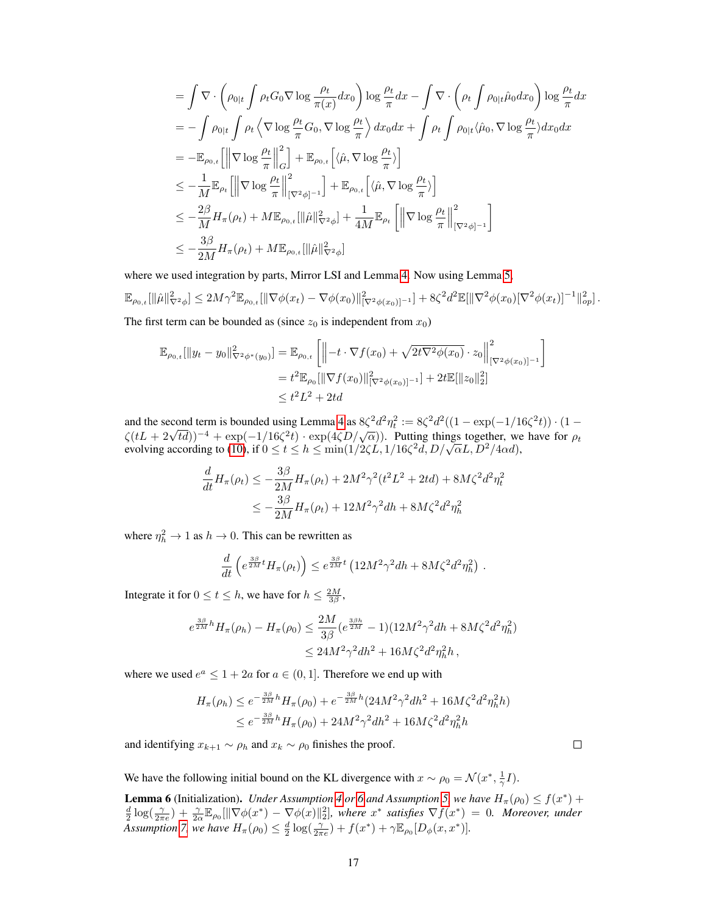$$
\begin{split}\n&= \int \nabla \cdot \left( \rho_{0|t} \int \rho_t G_0 \nabla \log \frac{\rho_t}{\pi(x)} dx_0 \right) \log \frac{\rho_t}{\pi} dx - \int \nabla \cdot \left( \rho_t \int \rho_{0|t} \hat{\mu}_0 dx_0 \right) \log \frac{\rho_t}{\pi} dx \\
&= - \int \rho_{0|t} \int \rho_t \left\langle \nabla \log \frac{\rho_t}{\pi} G_0, \nabla \log \frac{\rho_t}{\pi} \right\rangle dx_0 dx + \int \rho_t \int \rho_{0|t} \langle \hat{\mu}_0, \nabla \log \frac{\rho_t}{\pi} \rangle dx_0 dx \\
&= - \mathbb{E}_{\rho_{0,t}} \left[ \left\| \nabla \log \frac{\rho_t}{\pi} \right\|_G^2 \right] + \mathbb{E}_{\rho_{0,t}} \left[ \langle \hat{\mu}, \nabla \log \frac{\rho_t}{\pi} \rangle \right] \\
&\leq - \frac{1}{M} \mathbb{E}_{\rho_t} \left[ \left\| \nabla \log \frac{\rho_t}{\pi} \right\|_{[\nabla^2 \phi]^{-1}}^2 \right] + \mathbb{E}_{\rho_{0,t}} \left[ \langle \hat{\mu}, \nabla \log \frac{\rho_t}{\pi} \rangle \right] \\
&\leq - \frac{2\beta}{M} H_\pi(\rho_t) + M \mathbb{E}_{\rho_{0,t}} [\|\hat{\mu}\|_{\nabla^2 \phi}^2] + \frac{1}{4M} \mathbb{E}_{\rho_t} \left[ \left\| \nabla \log \frac{\rho_t}{\pi} \right\|_{[\nabla^2 \phi]^{-1}}^2 \right] \\
&\leq - \frac{3\beta}{2M} H_\pi(\rho_t) + M \mathbb{E}_{\rho_{0,t}} [\|\hat{\mu}\|_{\nabla^2 \phi}^2]\n\end{split}
$$

where we used integration by parts, Mirror LSI and Lemma [4.](#page-13-0) Now using Lemma [5,](#page-14-0)

$$
\mathbb{E}_{\rho_{0,t}}[\|\hat{\mu}\|^2_{\nabla^2 \phi}] \leq 2M\gamma^2 \mathbb{E}_{\rho_{0,t}}[\|\nabla \phi(x_t) - \nabla \phi(x_0)\|^2_{[\nabla^2 \phi(x_0)]^{-1}}] + 8\zeta^2 d^2 \mathbb{E}[\|\nabla^2 \phi(x_0)[\nabla^2 \phi(x_t)]^{-1}\|^2_{op}].
$$

The first term can be bounded as (since  $z_0$  is independent from  $x_0$ )

$$
\mathbb{E}_{\rho_{0,t}}[\|y_t - y_0\|_{\nabla^2 \phi^*(y_0)}^2] = \mathbb{E}_{\rho_{0,t}}\left[\left\|-t \cdot \nabla f(x_0) + \sqrt{2t \nabla^2 \phi(x_0)} \cdot z_0\right\|_{[\nabla^2 \phi(x_0)]^{-1}}^2\right]
$$
  
\n
$$
= t^2 \mathbb{E}_{\rho_0}[\|\nabla f(x_0)\|_{[\nabla^2 \phi(x_0)]^{-1}}^2] + 2t \mathbb{E}[\|z_0\|_2^2]
$$
  
\n
$$
\leq t^2 L^2 + 2td
$$

and the second term is bounded using Lemma [4](#page-13-0) as  $8\zeta^2 d^2 \eta_t^2 := 8\zeta^2 d^2((1 - \exp(-1/16\zeta^2 t)) \cdot (1$ and the second term is bounded using Lemma 4 as  $\delta \zeta^{-1/2}$   $\bar{z} = \delta \zeta^{-1/2}$  ( $(1 - \exp(-1/10\zeta^{-1})) \cdot (1 - \zeta(tL + 2\sqrt{td}))^{-4}$  +  $\exp(-1/16\zeta^2 t) \cdot \exp(4\zeta D/\sqrt{\alpha})$ ). Putting things together, we have for  $\rho_t$  $\exp(tL + 2\sqrt{t}a)$  +  $\exp(-1/16\zeta^2 t) \cdot \exp(4\zeta D/\sqrt{\alpha})$ . Putting things together, we<br>evolving according to [\(10\)](#page-4-1), if  $0 \le t \le h \le \min(1/2\zeta L, 1/16\zeta^2 d, D/\sqrt{\alpha}L, D^2/4\alpha d)$ ,

$$
\frac{d}{dt}H_{\pi}(\rho_t) \le -\frac{3\beta}{2M}H_{\pi}(\rho_t) + 2M^2\gamma^2(t^2L^2 + 2td) + 8M\zeta^2d^2\eta_t^2
$$
\n
$$
\le -\frac{3\beta}{2M}H_{\pi}(\rho_t) + 12M^2\gamma^2dh + 8M\zeta^2d^2\eta_h^2
$$

where  $\eta_h^2 \to 1$  as  $h \to 0$ . This can be rewritten as

$$
\frac{d}{dt}\left(e^{\frac{3\beta}{2M}t}H_{\pi}(\rho_t)\right) \leq e^{\frac{3\beta}{2M}t}\left(12M^2\gamma^2dh + 8M\zeta^2d^2\eta_h^2\right).
$$

Integrate it for  $0 \le t \le h$ , we have for  $h \le \frac{2M}{3\beta}$ ,

$$
e^{\frac{3\beta}{2M}h}H_{\pi}(\rho_h) - H_{\pi}(\rho_0) \leq \frac{2M}{3\beta}(e^{\frac{3\beta h}{2M}} - 1)(12M^2\gamma^2dh + 8M\zeta^2d^2\eta_h^2)
$$
  

$$
\leq 24M^2\gamma^2dh^2 + 16M\zeta^2d^2\eta_h^2h,
$$

where we used  $e^a \leq 1 + 2a$  for  $a \in (0, 1]$ . Therefore we end up with

$$
H_{\pi}(\rho_h) \le e^{-\frac{3\beta}{2M}h} H_{\pi}(\rho_0) + e^{-\frac{3\beta}{2M}h} (24M^2 \gamma^2 dh^2 + 16M\zeta^2 d^2 \eta_h^2 h)
$$
  

$$
\le e^{-\frac{3\beta}{2M}h} H_{\pi}(\rho_0) + 24M^2 \gamma^2 dh^2 + 16M\zeta^2 d^2 \eta_h^2 h
$$

and identifying  $x_{k+1} \sim \rho_h$  and  $x_k \sim \rho_0$  finishes the proof.

 $\Box$ 

We have the following initial bound on the KL divergence with  $x \sim \rho_0 = \mathcal{N}(x^*, \frac{1}{\gamma}I)$ .

<span id="page-16-0"></span>**Lemma [6](#page-6-2)** (Initialization). *Under Assumption* [4](#page-3-4) *or* 6 *and Assumption* [5,](#page-3-3) we have  $H_{\pi}(\rho_0) \le f(x^*) +$  $\frac{d}{2}\log(\frac{\gamma}{2\pi e})+\frac{\gamma}{2\alpha}\mathbb{E}_{\rho_0}[\|\nabla\phi(x^*)-\nabla\phi(x)\|_2^2]$ , where  $x^*$  satisfies  $\nabla f(x^*)=0$ . Moreover, under *Assumption* [7,](#page-7-3) *we have*  $H_{\pi}(\rho_0) \leq \frac{d}{2} \log(\frac{\gamma}{2\pi e}) + f(x^*) + \gamma \mathbb{E}_{\rho_0}[D_{\phi}(x, x^*)].$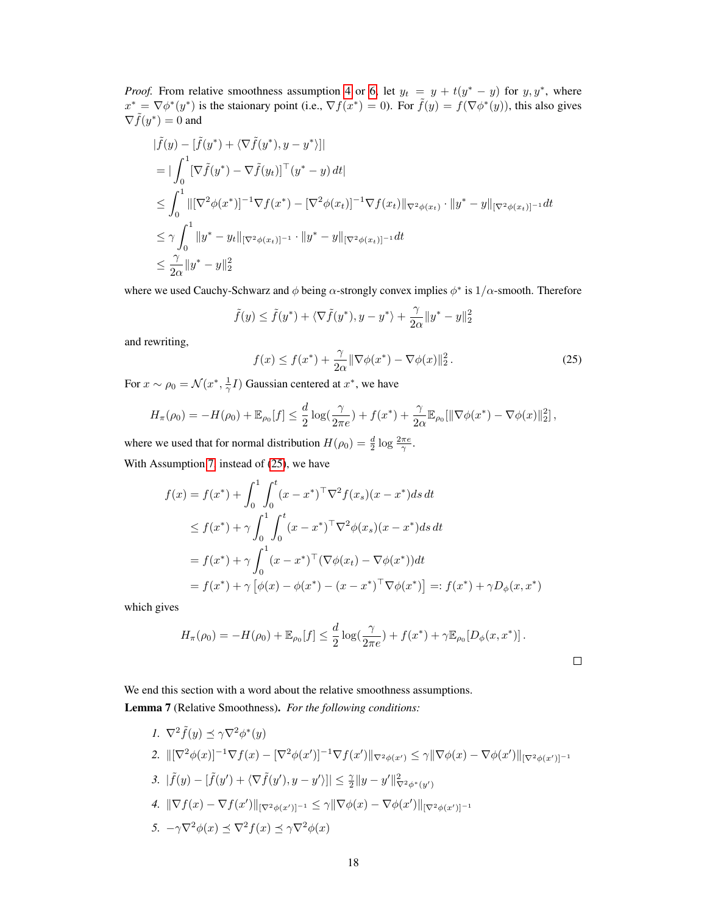*Proof.* From relative smoothness assumption [4](#page-3-4) or [6,](#page-6-2) let  $y_t = y + t(y^* - y)$  for  $y, y^*$ , where  $x^* = \nabla \phi^*(y^*)$  is the staionary point (i.e.,  $\nabla f(x^*) = 0$ ). For  $\tilde{f}(y) = f(\nabla \phi^*(y))$ , this also gives  $\nabla \tilde{f}(y^*) = 0$  and

$$
\begin{aligned}\n|\tilde{f}(y) - [\tilde{f}(y^*) + \langle \nabla \tilde{f}(y^*), y - y^* \rangle] \\
&= |\int_0^1 [\nabla \tilde{f}(y^*) - \nabla \tilde{f}(y_t)]^\top (y^* - y) dt] \\
&\leq \int_0^1 \| [\nabla^2 \phi(x^*)]^{-1} \nabla f(x^*) - [\nabla^2 \phi(x_t)]^{-1} \nabla f(x_t) \|_{\nabla^2 \phi(x_t)} \cdot \|y^* - y\|_{[\nabla^2 \phi(x_t)]^{-1}} dt \\
&\leq \gamma \int_0^1 \|y^* - y_t\|_{[\nabla^2 \phi(x_t)]^{-1}} \cdot \|y^* - y\|_{[\nabla^2 \phi(x_t)]^{-1}} dt \\
&\leq \frac{\gamma}{2\alpha} \|y^* - y\|_2^2\n\end{aligned}
$$

where we used Cauchy-Schwarz and  $\phi$  being  $\alpha$ -strongly convex implies  $\phi^*$  is  $1/\alpha$ -smooth. Therefore

<span id="page-17-1"></span>
$$
\tilde{f}(y) \le \tilde{f}(y^*) + \langle \nabla \tilde{f}(y^*), y - y^* \rangle + \frac{\gamma}{2\alpha} ||y^* - y||_2^2
$$

and rewriting,

$$
f(x) \le f(x^*) + \frac{\gamma}{2\alpha} \|\nabla \phi(x^*) - \nabla \phi(x)\|_2^2.
$$
 (25)

For  $x \sim \rho_0 = \mathcal{N}(x^*, \frac{1}{\gamma}I)$  Gaussian centered at  $x^*$ , we have

$$
H_{\pi}(\rho_0) = -H(\rho_0) + \mathbb{E}_{\rho_0}[f] \le \frac{d}{2}\log(\frac{\gamma}{2\pi e}) + f(x^*) + \frac{\gamma}{2\alpha}\mathbb{E}_{\rho_0}[\|\nabla\phi(x^*) - \nabla\phi(x)\|_2^2],
$$

where we used that for normal distribution  $H(\rho_0) = \frac{d}{2} \log \frac{2\pi e}{\gamma}$ . With Assumption [7,](#page-7-3) instead of [\(25\)](#page-17-1), we have

$$
f(x) = f(x^*) + \int_0^1 \int_0^t (x - x^*)^\top \nabla^2 f(x_s)(x - x^*) ds dt
$$
  
\n
$$
\leq f(x^*) + \gamma \int_0^1 \int_0^t (x - x^*)^\top \nabla^2 \phi(x_s)(x - x^*) ds dt
$$
  
\n
$$
= f(x^*) + \gamma \int_0^1 (x - x^*)^\top (\nabla \phi(x_t) - \nabla \phi(x^*)) dt
$$
  
\n
$$
= f(x^*) + \gamma [\phi(x) - \phi(x^*) - (x - x^*)^\top \nabla \phi(x^*)] =: f(x^*) + \gamma D_\phi(x, x^*)
$$

which gives

$$
H_{\pi}(\rho_0) = -H(\rho_0) + \mathbb{E}_{\rho_0}[f] \le \frac{d}{2}\log(\frac{\gamma}{2\pi e}) + f(x^*) + \gamma \mathbb{E}_{\rho_0}[D_{\phi}(x, x^*)].
$$

<span id="page-17-0"></span>We end this section with a word about the relative smoothness assumptions. Lemma 7 (Relative Smoothness). *For the following conditions:*

1. 
$$
\nabla^2 \tilde{f}(y) \preceq \gamma \nabla^2 \phi^*(y)
$$
  
\n2.  $\|[\nabla^2 \phi(x)]^{-1} \nabla f(x) - [\nabla^2 \phi(x')]^{-1} \nabla f(x')\|_{\nabla^2 \phi(x')} \leq \gamma \|\nabla \phi(x) - \nabla \phi(x')\|_{[\nabla^2 \phi(x')]^{-1}}$   
\n3.  $|\tilde{f}(y) - [\tilde{f}(y') + \langle \nabla \tilde{f}(y'), y - y' \rangle]| \leq \frac{\gamma}{2} \|y - y'\|_{\nabla^2 \phi^*(y')}^2$   
\n4.  $\|\nabla f(x) - \nabla f(x')\|_{[\nabla^2 \phi(x')]^{-1}} \leq \gamma \|\nabla \phi(x) - \nabla \phi(x')\|_{[\nabla^2 \phi(x')]^{-1}}$   
\n5.  $-\gamma \nabla^2 \phi(x) \preceq \nabla^2 f(x) \preceq \gamma \nabla^2 \phi(x)$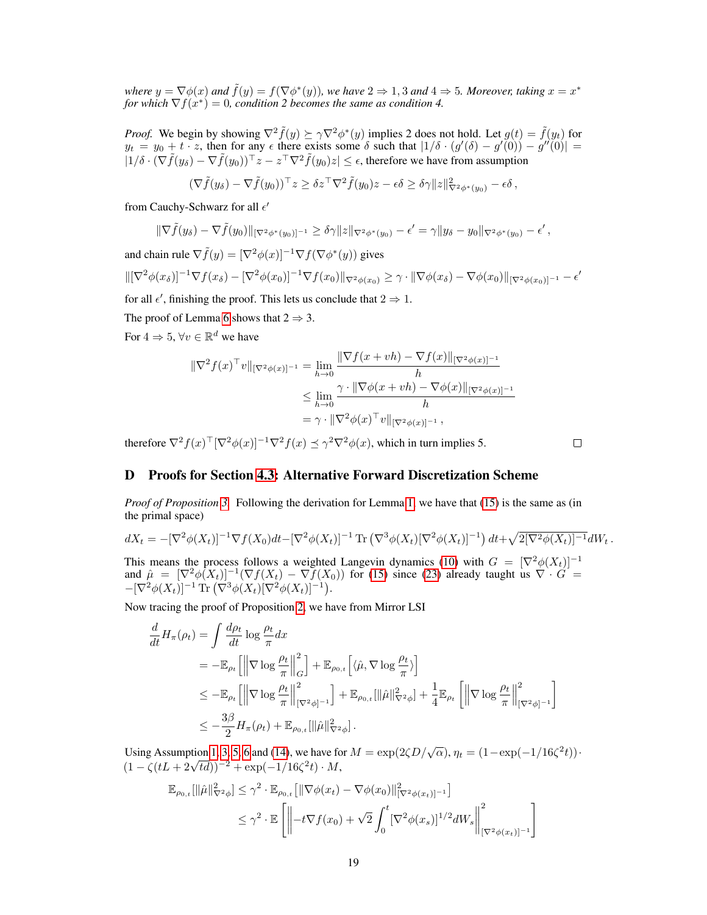*where*  $y = \nabla \phi(x)$  *and*  $\tilde{f}(y) = f(\nabla \phi^*(y))$ *, we have*  $2 \Rightarrow 1, 3$  *and*  $4 \Rightarrow 5$ *. Moreover, taking*  $x = x^*$ for which  $\nabla f(x^*) = 0$ , condition 2 becomes the same as condition 4.

*Proof.* We begin by showing  $\nabla^2 \tilde{f}(y) \succeq \gamma \nabla^2 \phi^*(y)$  implies 2 does not hold. Let  $g(t) = \tilde{f}(y_t)$  for  $y_t = y_0 + t \cdot z$ , then for any  $\epsilon$  there exists some  $\delta$  such that  $|1/\delta \cdot (g'(\delta) - g'(\delta)) - g''(\delta)| =$  $|1/\delta \cdot (\nabla \tilde{f}(y_\delta) - \nabla \tilde{f}(y_0))^\top z - z^\top \nabla^2 \tilde{f}(y_0)z| \leq \epsilon$ , therefore we have from assumption

$$
(\nabla \tilde{f}(y_\delta) - \nabla \tilde{f}(y_0))^{\top} z \geq \delta z^{\top} \nabla^2 \tilde{f}(y_0) z - \epsilon \delta \geq \delta \gamma \|z\|_{\nabla^2 \phi^*(y_0)}^2 - \epsilon \delta,
$$

from Cauchy-Schwarz for all  $\epsilon'$ 

$$
\|\nabla \tilde{f}(y_\delta)-\nabla \tilde{f}(y_0)\|_{[\nabla^2 \phi^*(y_0)]^{-1}} \geq \delta \gamma \|z\|_{\nabla^2 \phi^*(y_0)} - \epsilon' = \gamma \|y_\delta - y_0\|_{\nabla^2 \phi^*(y_0)} - \epsilon' ,
$$

and chain rule  $\nabla \tilde{f}(y) = [\nabla^2 \phi(x)]^{-1} \nabla f(\nabla \phi^*(y))$  gives  $\|[\nabla^2 \phi(x_\delta)]^{-1}\nabla f(x_\delta) - [\nabla^2 \phi(x_0)]^{-1}\nabla f(x_0)\|_{\nabla^2 \phi(x_0)} \geq \gamma \cdot \|\nabla \phi(x_\delta) - \nabla \phi(x_0)\|_{[\nabla^2 \phi(x_0)]^{-1}} - \epsilon'$ 

for all  $\epsilon'$ , finishing the proof. This lets us conclude that  $2 \Rightarrow 1$ .

The proof of Lemma [6](#page-16-0) shows that  $2 \Rightarrow 3$ .

For  $4 \Rightarrow 5, \forall v \in \mathbb{R}^d$  we have

$$
\|\nabla^2 f(x)^\top v\|_{[\nabla^2 \phi(x)]^{-1}} = \lim_{h \to 0} \frac{\|\nabla f(x + vh) - \nabla f(x)\|_{[\nabla^2 \phi(x)]^{-1}}}{h}
$$
  

$$
\leq \lim_{h \to 0} \frac{\gamma \cdot \|\nabla \phi(x + vh) - \nabla \phi(x)\|_{[\nabla^2 \phi(x)]^{-1}}}{h}
$$
  

$$
= \gamma \cdot \|\nabla^2 \phi(x)^\top v\|_{[\nabla^2 \phi(x)]^{-1}},
$$

therefore  $\nabla^2 f(x)^\top [\nabla^2 \phi(x)]^{-1} \nabla^2 f(x) \preceq \gamma^2 \nabla^2 \phi(x)$ , which in turn implies 5.

 $\Box$ 

# <span id="page-18-0"></span>D Proofs for Section [4.3:](#page-6-5) Alternative Forward Discretization Scheme

*Proof of Proposition [3.](#page-6-6)* Following the derivation for Lemma [1,](#page-4-0) we have that [\(15\)](#page-6-1) is the same as (in the primal space)

$$
dX_t = -[\nabla^2 \phi(X_t)]^{-1} \nabla f(X_0) dt - [\nabla^2 \phi(X_t)]^{-1} \operatorname{Tr} (\nabla^3 \phi(X_t) [\nabla^2 \phi(X_t)]^{-1}) dt + \sqrt{2[\nabla^2 \phi(X_t)]^{-1}} dW_t.
$$

This means the process follows a weighted Langevin dynamics [\(10\)](#page-4-1) with  $G = [\nabla^2 \phi(X_t)]^{-1}$ and  $\hat{\mu} = [\nabla^2 \phi(X_t)]^{-1} (\nabla f(X_t) - \nabla f(X_0))$  for [\(15\)](#page-6-1) since [\(23\)](#page-11-5) already taught us  $\nabla \cdot \hat{G} =$  $-[\nabla^2 \phi(X_t)]^{-1} \text{Tr} (\nabla^3 \phi(X_t) [\nabla^2 \phi(X_t)]^{-1}).$ 

Now tracing the proof of Proposition [2,](#page-5-0) we have from Mirror LSI

$$
\frac{d}{dt} H_{\pi}(\rho_t) = \int \frac{d\rho_t}{dt} \log \frac{\rho_t}{\pi} dx
$$
\n
$$
= -\mathbb{E}_{\rho_t} \left[ \left\| \nabla \log \frac{\rho_t}{\pi} \right\|_G^2 \right] + \mathbb{E}_{\rho_{0,t}} \left[ \langle \hat{\mu}, \nabla \log \frac{\rho_t}{\pi} \rangle \right]
$$
\n
$$
\leq -\mathbb{E}_{\rho_t} \left[ \left\| \nabla \log \frac{\rho_t}{\pi} \right\|_{[\nabla^2 \phi]^{-1}}^2 \right] + \mathbb{E}_{\rho_{0,t}} [\|\hat{\mu}\|_{\nabla^2 \phi}^2] + \frac{1}{4} \mathbb{E}_{\rho_t} \left[ \left\| \nabla \log \frac{\rho_t}{\pi} \right\|_{[\nabla^2 \phi]^{-1}}^2 \right]
$$
\n
$$
\leq -\frac{3\beta}{2} H_{\pi}(\rho_t) + \mathbb{E}_{\rho_{0,t}} [\|\hat{\mu}\|_{\nabla^2 \phi}^2].
$$

Using Assumption [1,](#page-2-2) [3,](#page-2-3) [5,](#page-3-3) [6](#page-6-2) and [\(14\)](#page-6-7), we have for  $M = \exp(2\zeta D/\sqrt{\alpha})$ ,  $\eta_t = (1 - \exp(-1/16\zeta^2 t))$ . Using Assumption 1, 5, 5, 6 and (14), we have it<br>  $(1 - \zeta(tL + 2\sqrt{td}))^{-2} + \exp(-1/16\zeta^2 t) \cdot M$ ,

$$
\mathbb{E}_{\rho_{0,t}}[\|\hat{\mu}\|_{\nabla^2\phi}^2] \leq \gamma^2 \cdot \mathbb{E}_{\rho_{0,t}}[\|\nabla\phi(x_t) - \nabla\phi(x_0)\|_{[\nabla^2\phi(x_t)]^{-1}}^2]
$$
  

$$
\leq \gamma^2 \cdot \mathbb{E}\left[\left\|-t\nabla f(x_0) + \sqrt{2}\int_0^t [\nabla^2\phi(x_s)]^{1/2}dW_s\right\|_{[\nabla^2\phi(x_t)]^{-1}}^2\right]
$$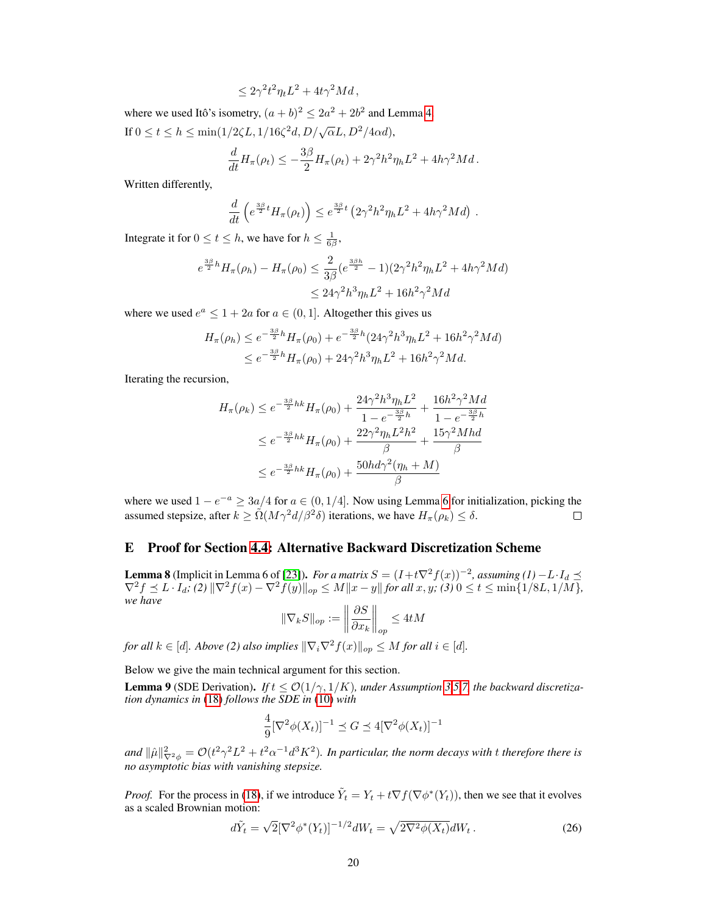$$
\leq 2\gamma^2 t^2 \eta_t L^2 + 4t\gamma^2 Md,
$$

where we used Itô's isometry,  $(a + b)^2 \le 2a^2 + 2b^2$  and Lemma [4.](#page-13-0) If  $0 \le t \le h \le \min(1/2\zeta L, 1/16\zeta^2 d, D/\sqrt{\alpha}L, D^2/4\alpha d),$ 

$$
\frac{d}{dt}H_{\pi}(\rho_t) \leq -\frac{3\beta}{2}H_{\pi}(\rho_t) + 2\gamma^2 h^2 \eta_h L^2 + 4h\gamma^2 Md.
$$

Written differently,

$$
\frac{d}{dt}\left(e^{\frac{3\beta}{2}t}H_{\pi}(\rho_t)\right) \leq e^{\frac{3\beta}{2}t}\left(2\gamma^2h^2\eta_hL^2 + 4h\gamma^2Md\right).
$$

Integrate it for  $0 \le t \le h$ , we have for  $h \le \frac{1}{6\beta}$ ,

$$
e^{\frac{3\beta}{2}h}H_{\pi}(\rho_{h}) - H_{\pi}(\rho_{0}) \leq \frac{2}{3\beta}(e^{\frac{3\beta h}{2}} - 1)(2\gamma^{2}h^{2}\eta_{h}L^{2} + 4h\gamma^{2}Md)
$$
  

$$
\leq 24\gamma^{2}h^{3}\eta_{h}L^{2} + 16h^{2}\gamma^{2}Md
$$

where we used  $e^a \leq 1 + 2a$  for  $a \in (0, 1]$ . Altogether this gives us

$$
H_{\pi}(\rho_h) \le e^{-\frac{3\beta}{2}h} H_{\pi}(\rho_0) + e^{-\frac{3\beta}{2}h} (24\gamma^2 h^3 \eta_h L^2 + 16h^2 \gamma^2 Md)
$$
  

$$
\le e^{-\frac{3\beta}{2}h} H_{\pi}(\rho_0) + 24\gamma^2 h^3 \eta_h L^2 + 16h^2 \gamma^2 Md.
$$

Iterating the recursion,

$$
H_{\pi}(\rho_k) \le e^{-\frac{3\beta}{2}hk} H_{\pi}(\rho_0) + \frac{24\gamma^2 h^3 \eta_h L^2}{1 - e^{-\frac{3\beta}{2}h}} + \frac{16h^2 \gamma^2 Md}{1 - e^{-\frac{3\beta}{2}h}}
$$
  

$$
\le e^{-\frac{3\beta}{2}hk} H_{\pi}(\rho_0) + \frac{22\gamma^2 \eta_h L^2 h^2}{\beta} + \frac{15\gamma^2 Mhd}{\beta}
$$
  

$$
\le e^{-\frac{3\beta}{2}hk} H_{\pi}(\rho_0) + \frac{50hd\gamma^2(\eta_h + M)}{\beta}
$$

where we used  $1 - e^{-a} \geq 3a/4$  for  $a \in (0, 1/4]$ . Now using Lemma [6](#page-16-0) for initialization, picking the assumed stepsize, after  $k \geq \tilde{\Omega}(M\gamma^2 d/\beta^2 \delta)$  iterations, we have  $H_{\pi}(\rho_k) \leq \delta$ .  $\Box$ 

# <span id="page-19-0"></span>E Proof for Section [4.4:](#page-7-4) Alternative Backward Discretization Scheme

<span id="page-19-3"></span>**Lemma 8** (Implicit in Lemma 6 of [\[23\]](#page-10-4)). *For a matrix*  $S = (I + t\nabla^2 f(x))^{-2}$ , assuming (1)  $-L \cdot I_d \preceq$  $\nabla^2 f \preceq L \cdot I_d$ ; (2)  $\|\nabla^2 f(x) - \nabla^2 f(y)\|_{op} \le M \|x - y\|$  for all  $x, y$ ; (3)  $0 \le t \le \min\{1/8L, 1/M\}$ , *we have*

$$
\|\nabla_k S\|_{op} := \left\|\frac{\partial S}{\partial x_k}\right\|_{op} \le 4tM
$$

*for all*  $k \in [d]$ *. Above* (2) also implies  $\|\nabla_i \nabla^2 f(x)\|_{op} \leq M$  *for all*  $i \in [d]$ *.* 

Below we give the main technical argument for this section.

<span id="page-19-1"></span>**Lemma 9** (SDE Derivation). *If*  $t \le O(1/\gamma, 1/K)$ *, under Assumption [3](#page-2-3)[,5,](#page-3-3)[7,](#page-7-3) the backward discretization dynamics in* [\(18\)](#page-7-2) *follows the SDE in* [\(10\)](#page-4-1) *with*

$$
\frac{4}{9}[\nabla^2\phi(X_t)]^{-1}\preceq G\preceq 4[\nabla^2\phi(X_t)]^{-1}
$$

and  $\|\hat{\mu}\|^2_{\nabla^2\phi}=\mathcal{O}(t^2\gamma^2L^2+t^2\alpha^{-1}d^3K^2).$  In particular, the norm decays with  $t$  therefore there is *no asymptotic bias with vanishing stepsize.*

*Proof.* For the process in [\(18\)](#page-7-2), if we introduce  $\tilde{Y}_t = Y_t + t \nabla f(\nabla \phi^*(Y_t))$ , then we see that it evolves as a scaled Brownian motion:

<span id="page-19-2"></span>
$$
d\tilde{Y}_t = \sqrt{2} [\nabla^2 \phi^*(Y_t)]^{-1/2} dW_t = \sqrt{2\nabla^2 \phi(X_t)} dW_t.
$$
 (26)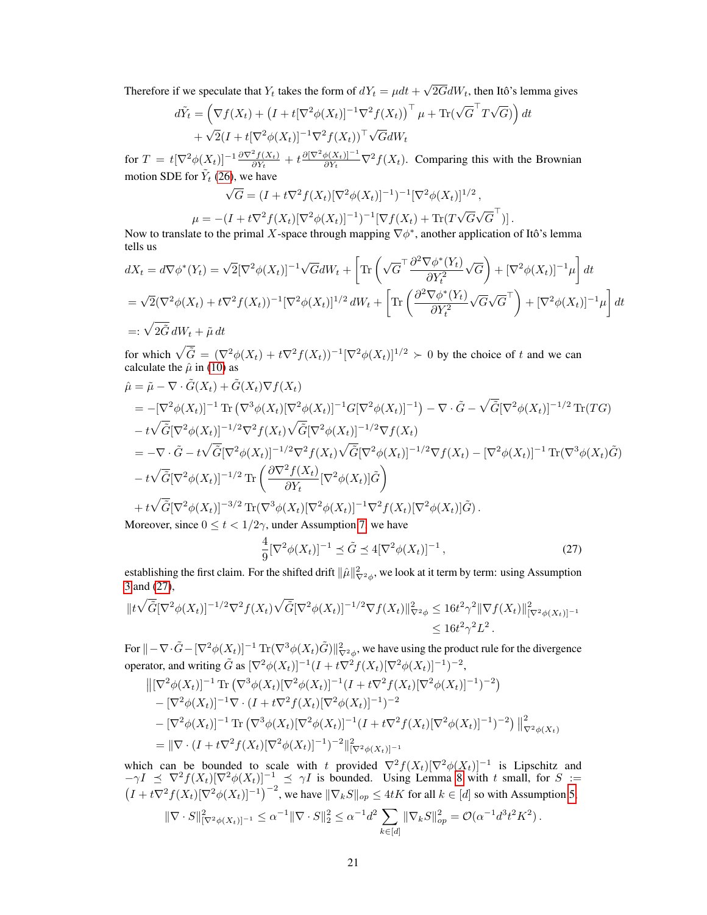Therefore if we speculate that  $Y_t$  takes the form of  $dY_t = \mu dt +$ √  $2GdW_t$ , then Itô's lemma gives

$$
d\tilde{Y}_t = \left(\nabla f(X_t) + \left(I + t[\nabla^2 \phi(X_t)]^{-1} \nabla^2 f(X_t)\right)^\top \mu + \text{Tr}(\sqrt{G}^\top T \sqrt{G})\right) dt + \sqrt{2}(I + t[\nabla^2 \phi(X_t)]^{-1} \nabla^2 f(X_t))^\top \sqrt{G} dW_t
$$

for  $T = t[\nabla^2 \phi(X_t)]^{-1} \frac{\partial \nabla^2 f(X_t)}{\partial Y_t}$  $\frac{\partial^2 f(X_t)}{\partial Y_t} + t \frac{\partial [\nabla^2 \phi(X_t)]^{-1}}{\partial Y_t}$  $\frac{\phi(X_t)|^{-1}}{\partial Y_t} \nabla^2 f(X_t)$ . Comparing this with the Brownian motion SDE for  $\tilde{Y}_t$  [\(26\)](#page-19-2), we have

$$
\sqrt{G} = (I + t\nabla^2 f(X_t)[\nabla^2 \phi(X_t)]^{-1})^{-1} [\nabla^2 \phi(X_t)]^{1/2},
$$

$$
\mu = -(I + t\nabla^2 f(X_t)[\nabla^2 \phi(X_t)]^{-1})^{-1} [\nabla f(X_t) + \text{Tr}(T\sqrt{G}\sqrt{G}^{\top})].
$$
  
ate to the primal X-space through mapping  $\nabla \phi^*$  another application

Now to translate to the primal X-space through mapping  $\nabla \phi^*$ , another application of Itô's lemma tells us

$$
dX_t = d\nabla\phi^*(Y_t) = \sqrt{2}[\nabla^2\phi(X_t)]^{-1}\sqrt{G}dW_t + \left[\text{Tr}\left(\sqrt{G}^\top \frac{\partial^2\nabla\phi^*(Y_t)}{\partial Y_t^2}\sqrt{G}\right) + [\nabla^2\phi(X_t)]^{-1}\mu\right]dt
$$
  
\n
$$
= \sqrt{2}(\nabla^2\phi(X_t) + t\nabla^2f(X_t))^{-1}[\nabla^2\phi(X_t)]^{1/2}dW_t + \left[\text{Tr}\left(\frac{\partial^2\nabla\phi^*(Y_t)}{\partial Y_t^2}\sqrt{G}\sqrt{G}^\top\right) + [\nabla^2\phi(X_t)]^{-1}\mu\right]dt
$$
  
\n
$$
=:\sqrt{2}\tilde{G}dW_t + \tilde{\mu}dt
$$

for which  $\sqrt{\tilde{G}} = (\nabla^2 \phi(X_t) + t\nabla^2 f(X_t))^{-1} [\nabla^2 \phi(X_t)]^{1/2} \succ 0$  by the choice of t and we can calculate the  $\hat{\mu}$  in [\(10\)](#page-4-1) as

$$
\hat{\mu} = \tilde{\mu} - \nabla \cdot \tilde{G}(X_t) + \tilde{G}(X_t) \nabla f(X_t)
$$
\n
$$
= -[\nabla^2 \phi(X_t)]^{-1} \operatorname{Tr} (\nabla^3 \phi(X_t) [\nabla^2 \phi(X_t)]^{-1} G[\nabla^2 \phi(X_t)]^{-1}) - \nabla \cdot \tilde{G} - \sqrt{\tilde{G}} [\nabla^2 \phi(X_t)]^{-1/2} \operatorname{Tr}(TG)
$$
\n
$$
- t \sqrt{\tilde{G}} [\nabla^2 \phi(X_t)]^{-1/2} \nabla^2 f(X_t) \sqrt{\tilde{G}} [\nabla^2 \phi(X_t)]^{-1/2} \nabla f(X_t)
$$
\n
$$
= -\nabla \cdot \tilde{G} - t \sqrt{\tilde{G}} [\nabla^2 \phi(X_t)]^{-1/2} \nabla^2 f(X_t) \sqrt{\tilde{G}} [\nabla^2 \phi(X_t)]^{-1/2} \nabla f(X_t) - [\nabla^2 \phi(X_t)]^{-1} \operatorname{Tr} (\nabla^3 \phi(X_t) \tilde{G})
$$
\n
$$
- t \sqrt{\tilde{G}} [\nabla^2 \phi(X_t)]^{-1/2} \operatorname{Tr} \left( \frac{\partial \nabla^2 f(X_t)}{\partial Y_t} [\nabla^2 \phi(X_t)] \tilde{G} \right)
$$
\n
$$
+ t \sqrt{\tilde{G}} [\nabla^2 \phi(X_t)]^{-3/2} \operatorname{Tr} (\nabla^3 \phi(X_t) [\nabla^2 \phi(X_t)]^{-1} \nabla^2 f(X_t) [\nabla^2 \phi(X_t)] \tilde{G}).
$$
\nMence, since  $\theta \leq t \leq 1/2$ , we have *nonline* and *nonline* and *nonline* are the *nonline* and *nonline* are the *nonline* and *nonline* are the *nonline* and *nonline* are the *nonline* and *nonline* are the *nonline* and *nonline* are the *nonline* and *nonline* and *nonline* are the *nonline* and *nonline* and *nonline* are given by  $\tilde{$ 

Moreover, since  $0 \le t < 1/2\gamma$ , under Assumption [7,](#page-7-3) we have

<span id="page-20-0"></span>
$$
\frac{4}{9} [\nabla^2 \phi(X_t)]^{-1} \preceq \tilde{G} \preceq 4 [\nabla^2 \phi(X_t)]^{-1}, \tag{27}
$$

establishing the first claim. For the shifted drift  $\|\hat{\mu}\|^2_{\nabla^2\phi}$ , we look at it term by term: using Assumption [3](#page-2-3) and [\(27\)](#page-20-0),

$$
||t\sqrt{\tilde{G}}[\nabla^2\phi(X_t)]^{-1/2}\nabla^2f(X_t)\sqrt{\tilde{G}}[\nabla^2\phi(X_t)]^{-1/2}\nabla f(X_t)||_{\nabla^2\phi}^2 \leq 16t^2\gamma^2||\nabla f(X_t)||_{[\nabla^2\phi(X_t)]^{-1}}^2
$$
  
\$\leq 16t^2\gamma^2L^2\$.

For  $\|-\nabla\cdot\tilde{G}-[\nabla^2\phi(X_t)]^{-1}{\,\rm Tr}(\nabla^3\phi(X_t)\tilde{G})\|_{\nabla^2\phi}^2,$  we have using the product rule for the divergence operator, and writing  $\tilde{G}$  as  $[\nabla^2 \phi(X_t)]^{-1} (I + t \nabla^2 f(X_t) [\nabla^2 \phi(X_t)]^{-1})^{-2}$ ,

$$
\begin{aligned}\n&\left\| [\nabla^2 \phi(X_t)]^{-1} \operatorname{Tr} (\nabla^3 \phi(X_t) [\nabla^2 \phi(X_t)]^{-1} (I + t \nabla^2 f(X_t) [\nabla^2 \phi(X_t)]^{-1})^{-2} \right) \\
&- [\nabla^2 \phi(X_t)]^{-1} \nabla \cdot (I + t \nabla^2 f(X_t) [\nabla^2 \phi(X_t)]^{-1})^{-2} \\
&- [\nabla^2 \phi(X_t)]^{-1} \operatorname{Tr} (\nabla^3 \phi(X_t) [\nabla^2 \phi(X_t)]^{-1} (I + t \nabla^2 f(X_t) [\nabla^2 \phi(X_t)]^{-1})^{-2}) \right\|_{\nabla^2 \phi(X_t)}^2 \\
&= \|\nabla \cdot (I + t \nabla^2 f(X_t) [\nabla^2 \phi(X_t)]^{-1})^{-2} \|^2_{[\nabla^2 \phi(X_t)]^{-1}}\n\end{aligned}
$$

which can be bounded to scale with t provided  $\nabla^2 f(X_t) [\nabla^2 \phi(X_t)]^{-1}$  is Lipschitz and  $-\gamma I \preceq \nabla^2 f(X_t) [\nabla^2 \phi(X_t)]^{-1} \preceq \gamma I$  is bounded. Using Lemma [8](#page-19-3) with t small, for  $S :=$  $(I + t\nabla^2 f(X_t)[\nabla^2 \phi(X_t)]^{-1})^{-2}$ , we have  $\|\nabla_k S\|_{op} \leq 4tK$  for all  $k \in [d]$  so with Assumption [5,](#page-3-3)

$$
\|\nabla \cdot S\|_{[\nabla^2 \phi(X_t)]^{-1}}^2 \leq \alpha^{-1} \|\nabla \cdot S\|_2^2 \leq \alpha^{-1} d^2 \sum_{k \in [d]} \|\nabla_k S\|_{op}^2 = \mathcal{O}(\alpha^{-1} d^3 t^2 K^2).
$$